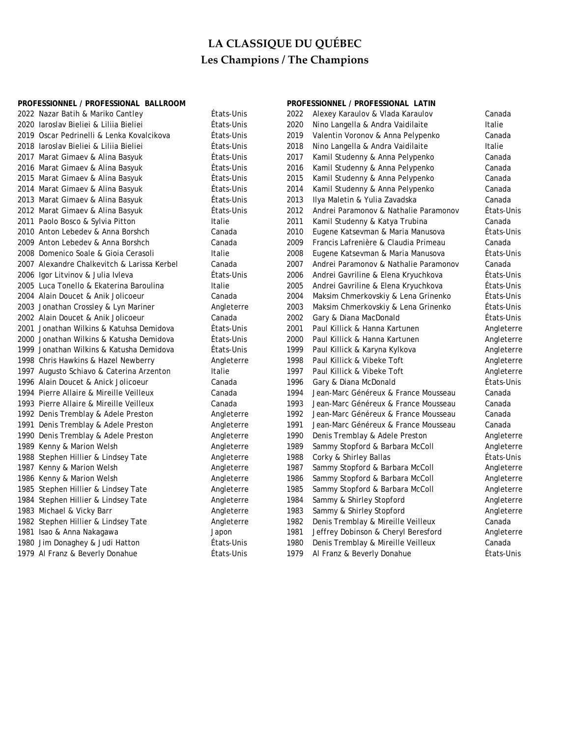## **PROFESSIONNEL / PROFESSIONAL BALLROOM PROFESSIONNEL / PROFESSIONAL LATIN**

| 2022 Nazar Batih & Mariko Cantley           | États-Unis | 2022 | Alexey Karaulov & Vlada Karaulov      | Canada     |
|---------------------------------------------|------------|------|---------------------------------------|------------|
| 2020 Iaroslav Bieliei & Liliia Bieliei      | États-Unis | 2020 | Nino Langella & Andra Vaidilaite      | Italie     |
| 2019 Oscar Pedrinelli & Lenka Kovalcikova   | États-Unis | 2019 | Valentin Voronov & Anna Pelypenko     | Canada     |
| 2018 Iaroslav Bieliei & Liliia Bieliei      | États-Unis | 2018 | Nino Langella & Andra Vaidilaite      | Italie     |
| 2017 Marat Gimaev & Alina Basyuk            | États-Unis | 2017 | Kamil Studenny & Anna Pelypenko       | Canada     |
| 2016 Marat Gimaev & Alina Basyuk            | États-Unis | 2016 | Kamil Studenny & Anna Pelypenko       | Canada     |
| 2015 Marat Gimaev & Alina Basyuk            | États-Unis | 2015 | Kamil Studenny & Anna Pelypenko       | Canada     |
| 2014 Marat Gimaev & Alina Basyuk            | États-Unis | 2014 | Kamil Studenny & Anna Pelypenko       | Canada     |
| 2013 Marat Gimaev & Alina Basyuk            | États-Unis | 2013 | Ilya Maletin & Yulia Zavadska         | Canada     |
| 2012 Marat Gimaev & Alina Basyuk            | États-Unis | 2012 | Andrei Paramonov & Nathalie Paramonov | États-Unis |
| 2011 Paolo Bosco & Sylvia Pitton            | Italie     | 2011 | Kamil Studenny & Katya Trubina        | Canada     |
| 2010 Anton Lebedev & Anna Borshch           | Canada     | 2010 | Eugene Katsevman & Maria Manusova     | États-Unis |
| 2009 Anton Lebedev & Anna Borshch           | Canada     | 2009 | Francis Lafrenière & Claudia Primeau  | Canada     |
| 2008 Domenico Soale & Gioia Cerasoli        | Italie     | 2008 | Eugene Katsevman & Maria Manusova     | États-Unis |
| 2007 Alexandre Chalkevitch & Larissa Kerbel | Canada     | 2007 | Andrei Paramonov & Nathalie Paramonov | Canada     |
| 2006 Igor Litvinov & Julia Ivleva           | Etats-Unis | 2006 | Andrei Gavriline & Elena Kryuchkova   | Etats-Unis |
| 2005 Luca Tonello & Ekaterina Baroulina     | Italie     | 2005 | Andrei Gavriline & Elena Kryuchkova   | États-Unis |
| 2004 Alain Doucet & Anik Jolicoeur          | Canada     | 2004 | Maksim Chmerkovskiy & Lena Grinenko   | Etats-Unis |
| 2003 Jonathan Crossley & Lyn Mariner        | Angleterre | 2003 | Maksim Chmerkovskiy & Lena Grinenko   | États-Unis |
| 2002 Alain Doucet & Anik Jolicoeur          | Canada     | 2002 | Gary & Diana MacDonald                | États-Unis |
| 2001 Jonathan Wilkins & Katuhsa Demidova    | États-Unis | 2001 | Paul Killick & Hanna Kartunen         | Angleterre |
| 2000 Jonathan Wilkins & Katusha Demidova    | États-Unis | 2000 | Paul Killick & Hanna Kartunen         | Angleterre |
| 1999 Jonathan Wilkins & Katusha Demidova    | États-Unis | 1999 | Paul Killick & Karyna Kylkova         | Angleterre |
| 1998 Chris Hawkins & Hazel Newberry         | Angleterre | 1998 | Paul Killick & Vibeke Toft            | Angleterre |
| 1997 Augusto Schiavo & Caterina Arzenton    | Italie     | 1997 | Paul Killick & Vibeke Toft            | Angleterre |
| 1996 Alain Doucet & Anick Jolicoeur         | Canada     | 1996 | Gary & Diana McDonald                 | États-Unis |
| 1994 Pierre Allaire & Mireille Veilleux     | Canada     | 1994 | Jean-Marc Généreux & France Mousseau  | Canada     |
| 1993 Pierre Allaire & Mireille Veilleux     | Canada     | 1993 | Jean-Marc Généreux & France Mousseau  | Canada     |
| 1992 Denis Tremblay & Adele Preston         | Angleterre | 1992 | Jean-Marc Généreux & France Mousseau  | Canada     |
| 1991 Denis Tremblay & Adele Preston         | Angleterre | 1991 | Jean-Marc Généreux & France Mousseau  | Canada     |
| 1990 Denis Tremblay & Adele Preston         | Angleterre | 1990 | Denis Tremblay & Adele Preston        | Angleterre |
| 1989 Kenny & Marion Welsh                   | Angleterre | 1989 | Sammy Stopford & Barbara McColl       | Angleterre |
| 1988 Stephen Hillier & Lindsey Tate         | Angleterre | 1988 | Corky & Shirley Ballas                | États-Unis |
| 1987 Kenny & Marion Welsh                   | Angleterre | 1987 | Sammy Stopford & Barbara McColl       | Angleterre |
| 1986 Kenny & Marion Welsh                   | Angleterre | 1986 | Sammy Stopford & Barbara McColl       | Angleterre |
| 1985 Stephen Hillier & Lindsey Tate         | Angleterre | 1985 | Sammy Stopford & Barbara McColl       | Angleterre |
| 1984 Stephen Hillier & Lindsey Tate         | Angleterre | 1984 | Sammy & Shirley Stopford              | Angleterre |
| 1983 Michael & Vicky Barr                   | Angleterre | 1983 | Sammy & Shirley Stopford              | Angleterre |
| 1982 Stephen Hillier & Lindsey Tate         | Angleterre | 1982 | Denis Tremblay & Mireille Veilleux    | Canada     |
| 1981 Isao & Anna Nakagawa                   | Japon      | 1981 | Jeffrey Dobinson & Cheryl Beresford   | Angleterre |
| 1980 Jim Donaghey & Judi Hatton             | États-Unis | 1980 | Denis Tremblay & Mireille Veilleux    | Canada     |
| 1979 Al Franz & Beverly Donahue             | Etats-Unis | 1979 | Al Franz & Beverly Donahue            | Etats-Unis |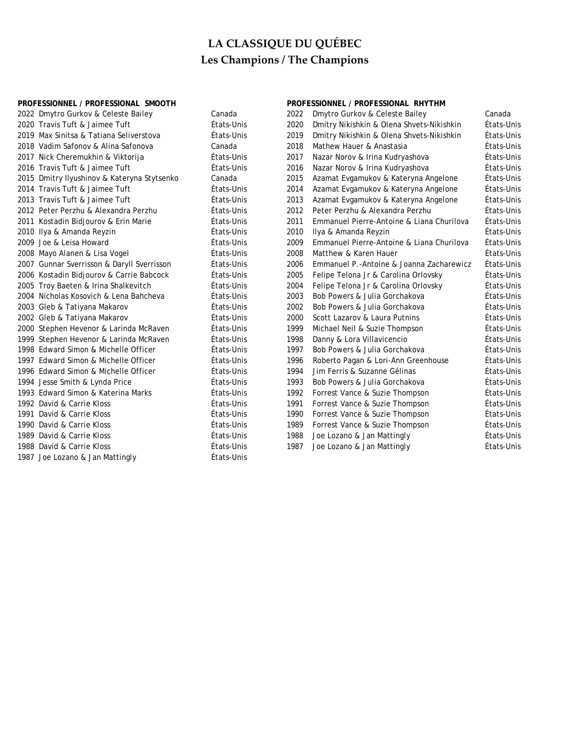|      | PROFESSIONNEL / PROFESSIONAL SMOOTH         |            |      | PROFESSIONNEL / PROFESSIONAL RHYTHM       |            |
|------|---------------------------------------------|------------|------|-------------------------------------------|------------|
|      | 2022 Dmytro Gurkov & Celeste Bailey         | Canada     | 2022 | Dmytro Gurkov & Celeste Bailey            | Canada     |
|      | 2020 Travis Tuft & Jaimee Tuft              | États-Unis | 2020 | Dmitry Nikishkin & Olena Shvets-Nikishkin | États-Unis |
|      | 2019 Max Sinitsa & Tatiana Seliverstova     | États-Unis | 2019 | Dmitry Nikishkin & Olena Shvets-Nikishkin | États-Unis |
|      | 2018 Vadim Safonov & Alina Safonova         | Canada     | 2018 | Mathew Hauer & Anastasia                  | États-Unis |
|      | 2017 Nick Cheremukhin & Viktorija           | États-Unis | 2017 | Nazar Norov & Irina Kudryashova           | États-Unis |
|      | 2016 Travis Tuft & Jaimee Tuft              | États-Unis | 2016 | Nazar Norov & Irina Kudryashova           | États-Unis |
|      | 2015 Dmitry Ilyushinov & Kateryna Stytsenko | Canada     | 2015 | Azamat Evgamukov & Kateryna Angelone      | États-Unis |
|      | 2014 Travis Tuft & Jaimee Tuft              | États-Unis | 2014 | Azamat Evgamukov & Kateryna Angelone      | États-Unis |
|      | 2013 Travis Tuft & Jaimee Tuft              | États-Unis | 2013 | Azamat Evgamukov & Kateryna Angelone      | États-Unis |
|      | 2012 Peter Perzhu & Alexandra Perzhu        | États-Unis | 2012 | Peter Perzhu & Alexandra Perzhu           | États-Unis |
|      | 2011 Kostadin Bidjourov & Erin Marie        | États-Unis | 2011 | Emmanuel Pierre-Antoine & Liana Churilova | États-Unis |
|      | 2010 Ilya & Amanda Reyzin                   | États-Unis | 2010 | Ilya & Amanda Reyzin                      | États-Unis |
|      | 2009 Joe & Leisa Howard                     | États-Unis | 2009 | Emmanuel Pierre-Antoine & Liana Churilova | États-Unis |
|      | 2008 Mayo Alanen & Lisa Vogel               | États-Unis | 2008 | Matthew & Karen Hauer                     | États-Unis |
|      | 2007 Gunnar Sverrisson & Daryll Sverrisson  | États-Unis | 2006 | Emmanuel P.-Antoine & Joanna Zacharewicz  | États-Unis |
|      | 2006 Kostadin Bidjourov & Carrie Babcock    | États-Unis | 2005 | Felipe Telona Jr & Carolina Orlovsky      | États-Unis |
|      | 2005 Troy Baeten & Irina Shalkevitch        | États-Unis | 2004 | Felipe Telona Jr & Carolina Orlovsky      | États-Unis |
|      | 2004 Nicholas Kosovich & Lena Bahcheva      | États-Unis | 2003 | Bob Powers & Julia Gorchakova             | États-Unis |
|      | 2003 Gleb & Tatiyana Makarov                | États-Unis | 2002 | Bob Powers & Julia Gorchakova             | États-Unis |
|      | 2002 Gleb & Tatiyana Makarov                | États-Unis | 2000 | Scott Lazarov & Laura Putnins             | États-Unis |
|      | 2000 Stephen Hevenor & Larinda McRaven      | États-Unis | 1999 | Michael Neil & Suzie Thompson             | États-Unis |
|      | 1999 Stephen Hevenor & Larinda McRaven      | États-Unis | 1998 | Danny & Lora Villavicencio                | États-Unis |
|      | 1998 Edward Simon & Michelle Officer        | États-Unis | 1997 | Bob Powers & Julia Gorchakova             | États-Unis |
|      | 1997 Edward Simon & Michelle Officer        | États-Unis | 1996 | Roberto Pagan & Lori-Ann Greenhouse       | États-Unis |
|      | 1996 Edward Simon & Michelle Officer        | États-Unis | 1994 | Jim Ferris & Suzanne Gélinas              | États-Unis |
|      | 1994 Jesse Smith & Lynda Price              | États-Unis | 1993 | Bob Powers & Julia Gorchakova             | États-Unis |
|      | 1993 Edward Simon & Katerina Marks          | États-Unis | 1992 | Forrest Vance & Suzie Thompson            | États-Unis |
|      | 1992 David & Carrie Kloss                   | États-Unis | 1991 | Forrest Vance & Suzie Thompson            | États-Unis |
|      | 1991 David & Carrie Kloss                   | États-Unis | 1990 | Forrest Vance & Suzie Thompson            | États-Unis |
|      | 1990 David & Carrie Kloss                   | États-Unis | 1989 | Forrest Vance & Suzie Thompson            | États-Unis |
| 1989 | David & Carrie Kloss                        | États-Unis | 1988 | Joe Lozano & Jan Mattingly                | États-Unis |
|      | 1988 David & Carrie Kloss                   | États-Unis | 1987 | Joe Lozano & Jan Mattingly                | États-Unis |
|      | 1987 Joe Lozano & Jan Mattingly             | États-Unis |      |                                           |            |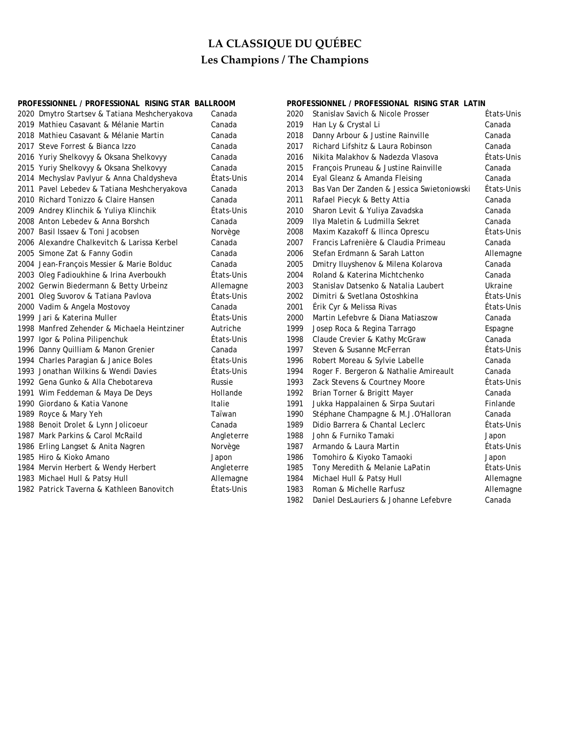|      | PROFESSIONNEL / PROFESSIONAL RISING STAR BALLROOM |            |      | PROFESSIONNEL / PROFESSIONAL RISING STAR LATIN |            |  |  |
|------|---------------------------------------------------|------------|------|------------------------------------------------|------------|--|--|
|      | 2020 Dmytro Startsev & Tatiana Meshcheryakova     | Canada     | 2020 | Stanislav Savich & Nicole Prosser              | Etats-Unis |  |  |
|      | 2019 Mathieu Casavant & Mélanie Martin            | Canada     | 2019 | Han Ly & Crystal Li                            | Canada     |  |  |
|      | 2018 Mathieu Casavant & Mélanie Martin            | Canada     | 2018 | Danny Arbour & Justine Rainville               | Canada     |  |  |
|      | 2017 Steve Forrest & Bianca Izzo                  | Canada     | 2017 | Richard Lifshitz & Laura Robinson              | Canada     |  |  |
|      | 2016 Yuriy Shelkovyy & Oksana Shelkovyy           | Canada     | 2016 | Nikita Malakhov & Nadezda Vlasova              | États-Unis |  |  |
|      | 2015 Yuriy Shelkovyy & Oksana Shelkovyy           | Canada     | 2015 | François Pruneau & Justine Rainville           | Canada     |  |  |
|      | 2014 Mechyslav Pavlyur & Anna Chaldysheva         | États-Unis | 2014 | Eyal Gleanz & Amanda Fleising                  | Canada     |  |  |
|      | 2011 Pavel Lebedev & Tatiana Meshcheryakova       | Canada     | 2013 | Bas Van Der Zanden & Jessica Swietoniowski     | États-Unis |  |  |
|      | 2010 Richard Tonizzo & Claire Hansen              | Canada     | 2011 | Rafael Piecyk & Betty Attia                    | Canada     |  |  |
|      | 2009 Andrey Klinchik & Yuliya Klinchik            | États-Unis | 2010 | Sharon Levit & Yuliya Zavadska                 | Canada     |  |  |
|      | 2008 Anton Lebedev & Anna Borshch                 | Canada     | 2009 | Ilya Maletin & Ludmilla Sekret                 | Canada     |  |  |
|      | 2007 Basil Issaev & Toni Jacobsen                 | Norvège    | 2008 | Maxim Kazakoff & Ilinca Oprescu                | États-Unis |  |  |
|      | 2006 Alexandre Chalkevitch & Larissa Kerbel       | Canada     | 2007 | Francis Lafrenière & Claudia Primeau           | Canada     |  |  |
|      | 2005 Simone Zat & Fanny Godin                     | Canada     | 2006 | Stefan Erdmann & Sarah Latton                  | Allemagne  |  |  |
|      | 2004 Jean-François Messier & Marie Bolduc         | Canada     | 2005 | Dmitry Iluyshenov & Milena Kolarova            | Canada     |  |  |
|      | 2003 Oleg Fadioukhine & Irina Averboukh           | États-Unis | 2004 | Roland & Katerina Michtchenko                  | Canada     |  |  |
|      | 2002 Gerwin Biedermann & Betty Urbeinz            | Allemagne  | 2003 | Stanislav Datsenko & Natalia Laubert           | Ukraine    |  |  |
|      | 2001 Oleg Suvorov & Tatiana Pavlova               | Etats-Unis | 2002 | Dimitri & Svetlana Ostoshkina                  | États-Unis |  |  |
|      | 2000 Vadim & Angela Mostovoy                      | Canada     | 2001 | Érik Cyr & Melissa Rivas                       | États-Unis |  |  |
| 1999 | Jari & Katerina Muller                            | États-Unis | 2000 | Martin Lefebvre & Diana Matiaszow              | Canada     |  |  |
|      | 1998 Manfred Zehender & Michaela Heintziner       | Autriche   | 1999 | Josep Roca & Regina Tarrago                    | Espagne    |  |  |
|      | 1997 Igor & Polina Pilipenchuk                    | Etats-Unis | 1998 | Claude Crevier & Kathy McGraw                  | Canada     |  |  |
|      | 1996 Danny Quilliam & Manon Grenier               | Canada     | 1997 | Steven & Susanne McFerran                      | États-Unis |  |  |
|      | 1994 Charles Paragian & Janice Boles              | États-Unis | 1996 | Robert Moreau & Sylvie Labelle                 | Canada     |  |  |
|      | 1993 Jonathan Wilkins & Wendi Davies              | États-Unis | 1994 | Roger F. Bergeron & Nathalie Amireault         | Canada     |  |  |
|      | 1992 Gena Gunko & Alla Chebotareva                | Russie     | 1993 | Zack Stevens & Courtney Moore                  | États-Unis |  |  |
|      | 1991 Wim Feddeman & Maya De Deys                  | Hollande   | 1992 | Brian Torner & Brigitt Mayer                   | Canada     |  |  |
|      | 1990 Giordano & Katia Vanone                      | Italie     | 1991 | Jukka Happalainen & Sirpa Suutari              | Finlande   |  |  |
|      | 1989 Royce & Mary Yeh                             | Taïwan     | 1990 | Stéphane Champagne & M.J.O'Halloran            | Canada     |  |  |
|      | 1988 Benoit Drolet & Lynn Jolicoeur               | Canada     | 1989 | Didio Barrera & Chantal Leclerc                | États-Unis |  |  |
|      | 1987 Mark Parkins & Carol McRaild                 | Angleterre | 1988 | John & Furniko Tamaki                          | Japon      |  |  |
|      | 1986 Erling Langset & Anita Nagren                | Norvège    | 1987 | Armando & Laura Martin                         | États-Unis |  |  |
|      | 1985 Hiro & Kioko Amano                           | Japon      | 1986 | Tomohiro & Kiyoko Tamaoki                      | Japon      |  |  |
|      | 1984 Mervin Herbert & Wendy Herbert               | Angleterre | 1985 | Tony Meredith & Melanie LaPatin                | États-Unis |  |  |
|      | 1983 Michael Hull & Patsy Hull                    | Allemagne  | 1984 | Michael Hull & Patsy Hull                      | Allemagne  |  |  |
|      | 1982 Patrick Taverna & Kathleen Banovitch         | Etats-Unis | 1983 | Roman & Michelle Rarfusz                       | Allemagne  |  |  |

1982 Daniel DesLauriers & Johanne Lefebvre Canada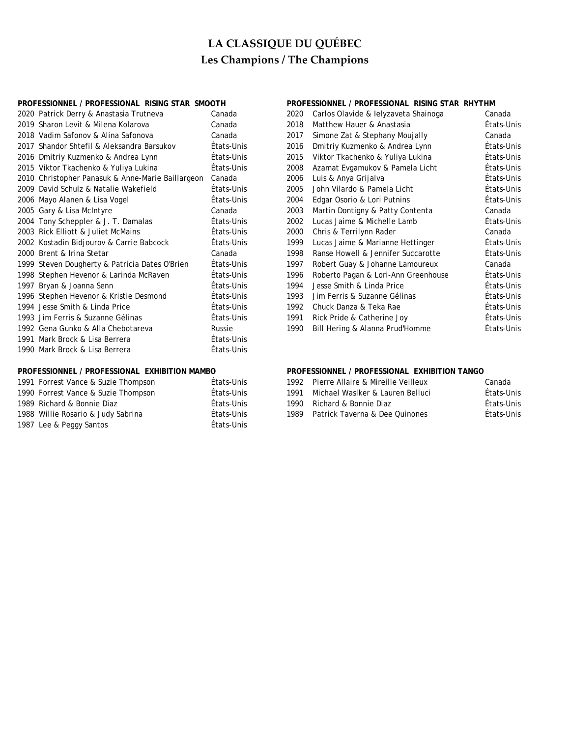## **PROFESSIONNEL / PROFESSIONAL RISING STAR SMOOTH PROFESSIONNEL / PROFESSIONAL RISING STAR RHYTHM**

| 2020 Patrick Derry & Anastasia Trutneva           | Canada     | 2020 | Carlos Olavide & lelyzaveta Shainoga | Canada  |
|---------------------------------------------------|------------|------|--------------------------------------|---------|
| 2019 Sharon Levit & Milena Kolarova               | Canada     | 2018 | Matthew Hauer & Anastasia            | États-U |
| 2018 Vadim Safonov & Alina Safonova               | Canada     | 2017 | Simone Zat & Stephany Moujally       | Canada  |
| 2017 Shandor Shtefil & Aleksandra Barsukov        | États-Unis | 2016 | Dmitriy Kuzmenko & Andrea Lynn       | États-U |
| 2016 Dmitriy Kuzmenko & Andrea Lynn               | États-Unis | 2015 | Viktor Tkachenko & Yuliya Lukina     | États-U |
| 2015 Viktor Tkachenko & Yuliya Lukina             | États-Unis | 2008 | Azamat Evgamukov & Pamela Licht      | États-U |
| 2010 Christopher Panasuk & Anne-Marie Baillargeon | Canada     | 2006 | Luis & Anya Grijalva                 | États-U |
| 2009 David Schulz & Natalie Wakefield             | États-Unis | 2005 | John Vilardo & Pamela Licht          | États-U |
| 2006 Mayo Alanen & Lisa Vogel                     | États-Unis | 2004 | Edgar Osorio & Lori Putnins          | États-U |
| 2005 Gary & Lisa McIntyre                         | Canada     | 2003 | Martin Dontigny & Patty Contenta     | Canada  |
| 2004 Tony Scheppler & J. T. Damalas               | États-Unis | 2002 | Lucas Jaime & Michelle Lamb          | États-U |
| 2003 Rick Elliott & Juliet McMains                | États-Unis | 2000 | Chris & Terrilynn Rader              | Canada  |
| 2002 Kostadin Bidjourov & Carrie Babcock          | États-Unis | 1999 | Lucas Jaime & Marianne Hettinger     | États-U |
| 2000 Brent & Irina Stetar                         | Canada     | 1998 | Ranse Howell & Jennifer Succarotte   | États-U |
| 1999 Steven Dougherty & Patricia Dates O'Brien    | États-Unis | 1997 | Robert Guay & Johanne Lamoureux      | Canada  |
| 1998 Stephen Hevenor & Larinda McRaven            | États-Unis | 1996 | Roberto Pagan & Lori-Ann Greenhouse  | États-U |
| 1997 Bryan & Joanna Senn                          | États-Unis | 1994 | Jesse Smith & Linda Price            | États-U |
| 1996 Stephen Hevenor & Kristie Desmond            | États-Unis | 1993 | Jim Ferris & Suzanne Gélinas         | États-U |
| 1994 Jesse Smith & Linda Price                    | États-Unis | 1992 | Chuck Danza & Teka Rae               | États-U |
| 1993 Jim Ferris & Suzanne Gélinas                 | États-Unis | 1991 | Rick Pride & Catherine Joy           | États-U |
| 1992 Gena Gunko & Alla Chebotareva                | Russie     | 1990 | Bill Hering & Alanna Prud'Homme      | États-U |
| 1991 Mark Brock & Lisa Berrera                    | États-Unis |      |                                      |         |
| 1990 Mark Brock & Lisa Berrera                    | États-Unis |      |                                      |         |

| 1991 Forrest Vance & Suzie Thompson | États-Unis |      | 1992 Pierre Allaire & Mireille Veilleux | Canada  |
|-------------------------------------|------------|------|-----------------------------------------|---------|
| 1990 Forrest Vance & Suzie Thompson | États-Unis | 1991 | Michael Waslker & Lauren Belluci        | États-U |
| 1989 Richard & Bonnie Diaz          | États-Unis |      | 1990 Richard & Bonnie Diaz              | États-U |
| 1988 Willie Rosario & Judy Sabrina  | États-Unis |      | 1989 Patrick Taverna & Dee Quinones     | États-U |
| 1987 Lee & Peggy Santos             | États-Unis |      |                                         |         |

| 2020 Patrick Derry & Anastasia Trutneva           | Canada     | 2020 | Carlos Olavide & lelyzaveta Shainoga | Canada     |
|---------------------------------------------------|------------|------|--------------------------------------|------------|
| 2019 Sharon Levit & Milena Kolarova               | Canada     | 2018 | Matthew Hauer & Anastasia            | États-Unis |
| 2018 Vadim Safonov & Alina Safonova               | Canada     | 2017 | Simone Zat & Stephany Moujally       | Canada     |
| 2017 Shandor Shtefil & Aleksandra Barsukov        | États-Unis | 2016 | Dmitriy Kuzmenko & Andrea Lynn       | États-Unis |
| 2016 Dmitriy Kuzmenko & Andrea Lynn               | États-Unis | 2015 | Viktor Tkachenko & Yuliya Lukina     | États-Unis |
| 2015 Viktor Tkachenko & Yuliya Lukina             | États-Unis | 2008 | Azamat Evgamukov & Pamela Licht      | États-Unis |
| 2010 Christopher Panasuk & Anne-Marie Baillargeon | Canada     | 2006 | Luis & Anya Grijalva                 | États-Unis |
| 2009 David Schulz & Natalie Wakefield             | États-Unis | 2005 | John Vilardo & Pamela Licht          | États-Unis |
| 2006 Mayo Alanen & Lisa Vogel                     | États-Unis | 2004 | Edgar Osorio & Lori Putnins          | États-Unis |
| 2005 Gary & Lisa McIntyre                         | Canada     | 2003 | Martin Dontigny & Patty Contenta     | Canada     |
| 2004 Tony Scheppler & J. T. Damalas               | États-Unis | 2002 | Lucas Jaime & Michelle Lamb          | États-Unis |
| 2003 Rick Elliott & Juliet McMains                | États-Unis | 2000 | Chris & Terrilynn Rader              | Canada     |
| 2002 Kostadin Bidjourov & Carrie Babcock          | États-Unis | 1999 | Lucas Jaime & Marianne Hettinger     | États-Unis |
| 2000 Brent & Irina Stetar                         | Canada     | 1998 | Ranse Howell & Jennifer Succarotte   | États-Unis |
| 1999 Steven Dougherty & Patricia Dates O'Brien    | États-Unis | 1997 | Robert Guay & Johanne Lamoureux      | Canada     |
| 1998 Stephen Hevenor & Larinda McRaven            | États-Unis | 1996 | Roberto Pagan & Lori-Ann Greenhouse  | États-Unis |
| 1997 Bryan & Joanna Senn                          | États-Unis | 1994 | Jesse Smith & Linda Price            | États-Unis |
| 1996 Stephen Hevenor & Kristie Desmond            | États-Unis | 1993 | Jim Ferris & Suzanne Gélinas         | États-Unis |
| 1994 Jesse Smith & Linda Price                    | États-Unis | 1992 | Chuck Danza & Teka Rae               | États-Unis |
| 1993 Jim Ferris & Suzanne Gélinas                 | États-Unis | 1991 | Rick Pride & Catherine Joy           | États-Unis |
| 1992 Gena Gunko & Alla Chebotareva                | Russie     | 1990 | Bill Hering & Alanna Prud'Homme      | États-Unis |
|                                                   |            |      |                                      |            |

## **PROFESSIONNEL / PROFESSIONAL EXHIBITION MAMBO PROFESSIONNEL / PROFESSIONAL EXHIBITION TANGO**

| 1991 Forrest Vance & Suzie Thompson | Etats-Unis         |      | 1992 Pierre Allaire & Mireille Veilleux | Canada     |
|-------------------------------------|--------------------|------|-----------------------------------------|------------|
| 1990 Forrest Vance & Suzie Thompson | États-Unis         | 1991 | Michael Waslker & Lauren Belluci        | États-Unis |
| 1989 Richard & Bonnie Diaz          | États-Unis         |      | 1990 Richard & Bonnie Diaz              | États-Unis |
| 1988 Willie Rosario & Judy Sabrina  | États-Unis         |      | 1989 Patrick Taverna & Dee Quinones     | États-Unis |
| $1007 + 1 = 0$ December $0.101$     | المناسبا المستمسكة |      |                                         |            |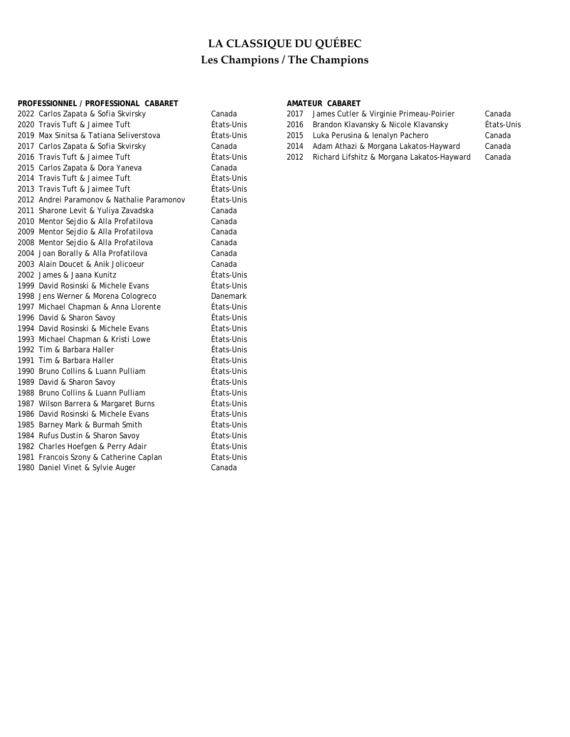## PROFESSIONNEL / PROFESSIONAL CABARET **AMATEUR CABARET**

| 2022 Carlos Zapata & Sofia Skvirsky        | Canada     | 2017 | James Cutler & Virginie Primeau-Poirier    | Canada     |
|--------------------------------------------|------------|------|--------------------------------------------|------------|
| 2020 Travis Tuft & Jaimee Tuft             | États-Unis | 2016 | Brandon Klavansky & Nicole Klavansky       | États-Unis |
| 2019 Max Sinitsa & Tatiana Seliverstova    | États-Unis | 2015 | Luka Perusina & Ienalyn Pachero            | Canada     |
| 2017 Carlos Zapata & Sofia Skvirsky        | Canada     | 2014 | Adam Athazi & Morgana Lakatos-Hayward      | Canada     |
| 2016 Travis Tuft & Jaimee Tuft             | États-Unis | 2012 | Richard Lifshitz & Morgana Lakatos-Hayward | Canada     |
| 2015 Carlos Zapata & Dora Yaneva           | Canada     |      |                                            |            |
| 2014 Travis Tuft & Jaimee Tuft             | États-Unis |      |                                            |            |
| 2013 Travis Tuft & Jaimee Tuft             | États-Unis |      |                                            |            |
| 2012 Andrei Paramonov & Nathalie Paramonov | États-Unis |      |                                            |            |
| 2011 Sharone Levit & Yuliya Zavadska       | Canada     |      |                                            |            |
| 2010 Mentor Sejdio & Alla Profatilova      | Canada     |      |                                            |            |
| 2009 Mentor Sejdio & Alla Profatilova      | Canada     |      |                                            |            |
| 2008 Mentor Sejdio & Alla Profatilova      | Canada     |      |                                            |            |
| 2004 Joan Borally & Alla Profatilova       | Canada     |      |                                            |            |
| 2003 Alain Doucet & Anik Jolicoeur         | Canada     |      |                                            |            |
| 2002 James & Jaana Kunitz                  | États-Unis |      |                                            |            |
| 1999 David Rosinski & Michele Evans        | États-Unis |      |                                            |            |
| 1998 Jens Werner & Morena Cologreco        | Danemark   |      |                                            |            |
| 1997 Michael Chapman & Anna Llorente       | États-Unis |      |                                            |            |
| 1996 David & Sharon Savoy                  | États-Unis |      |                                            |            |
| 1994 David Rosinski & Michele Evans        | États-Unis |      |                                            |            |
| 1993 Michael Chapman & Kristi Lowe         | États-Unis |      |                                            |            |
| 1992 Tim & Barbara Haller                  | États-Unis |      |                                            |            |
| 1991 Tim & Barbara Haller                  | États-Unis |      |                                            |            |
| 1990 Bruno Collins & Luann Pulliam         | États-Unis |      |                                            |            |
| 1989 David & Sharon Savoy                  | États-Unis |      |                                            |            |
| 1988 Bruno Collins & Luann Pulliam         | États-Unis |      |                                            |            |
| 1987 Wilson Barrera & Margaret Burns       | États-Unis |      |                                            |            |
| 1986 David Rosinski & Michele Evans        | États-Unis |      |                                            |            |
| 1985 Barney Mark & Burmah Smith            | États-Unis |      |                                            |            |
| 1984 Rufus Dustin & Sharon Savoy           | États-Unis |      |                                            |            |
| 1982 Charles Hoefgen & Perry Adair         | États-Unis |      |                                            |            |
| 1981 Francois Szony & Catherine Caplan     | États-Unis |      |                                            |            |
| 1980 Daniel Vinet & Sylvie Auger           | Canada     |      |                                            |            |
|                                            |            |      |                                            |            |

| 2017 | James Cutler & Virginie Primeau-Poirier | Car |
|------|-----------------------------------------|-----|
| 2016 | - Brandon Klavansky & Nicole Klavansky  | Éta |

- 
- 
- s-Unis **2012 Richard Lifshitz & Morgana Lakatos-Hayward** Canada
-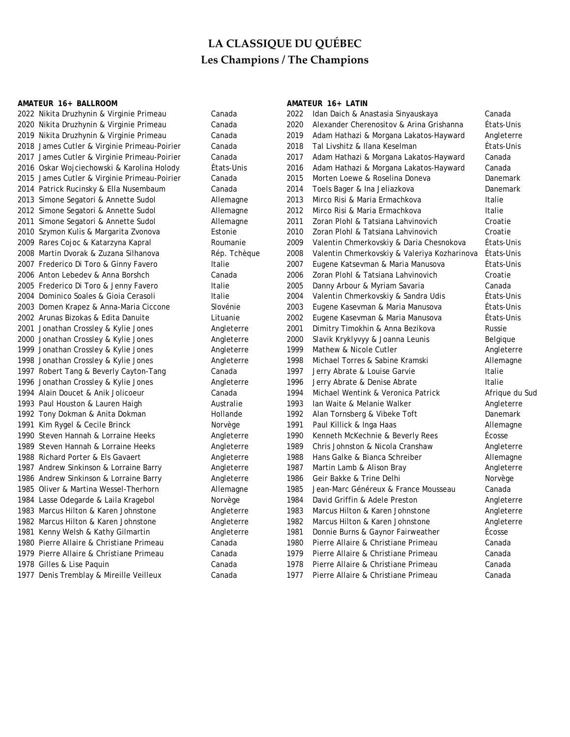### **AMATEUR 16+ BALLROOM AMATEUR 16+ LATIN**

| 2022 Nikita Druzhynin & Virginie Primeau     | Canada       | 2022 | Idan Daich & Anastasia Sinyauskaya           | Canada          |
|----------------------------------------------|--------------|------|----------------------------------------------|-----------------|
| 2020 Nikita Druzhynin & Virginie Primeau     | Canada       | 2020 | Alexander Cherenositov & Arina Grishanna     | États-Unis      |
| 2019 Nikita Druzhynin & Virginie Primeau     | Canada       | 2019 | Adam Hathazi & Morgana Lakatos-Hayward       | Angleterre      |
| 2018 James Cutler & Virginie Primeau-Poirier | Canada       | 2018 | Tal Livshitz & Ilana Keselman                | États-Unis      |
| 2017 James Cutler & Virginie Primeau-Poirier | Canada       | 2017 | Adam Hathazi & Morgana Lakatos-Hayward       | Canada          |
| 2016 Oskar Wojciechowski & Karolina Holody   | États-Unis   | 2016 | Adam Hathazi & Morgana Lakatos-Hayward       | Canada          |
| 2015 James Cutler & Virginie Primeau-Poirier | Canada       | 2015 | Morten Loewe & Roselina Doneva               | Danemark        |
| 2014 Patrick Rucinsky & Ella Nusembaum       | Canada       | 2014 | Toels Bager & Ina Jeliazkova                 | <b>Danemark</b> |
| 2013 Simone Segatori & Annette Sudol         | Allemagne    | 2013 | Mirco Risi & Maria Ermachkova                | Italie          |
| 2012 Simone Segatori & Annette Sudol         | Allemagne    | 2012 | Mirco Risi & Maria Ermachkova                | Italie          |
| 2011 Simone Segatori & Annette Sudol         | Allemagne    | 2011 | Zoran Plohl & Tatsiana Lahvinovich           | Croatie         |
| 2010 Szymon Kulis & Margarita Zvonova        | Estonie      | 2010 | Zoran Plohl & Tatsiana Lahvinovich           | Croatie         |
| 2009 Rares Cojoc & Katarzyna Kapral          | Roumanie     | 2009 | Valentin Chmerkovskiy & Daria Chesnokova     | États-Unis      |
| 2008 Martin Dvorak & Zuzana Silhanova        | Rép. Tchèque | 2008 | Valentin Chmerkovskiy & Valeriya Kozharinova | États-Unis      |
| 2007 Frederico Di Toro & Ginny Favero        | Italie       | 2007 | Eugene Katsevman & Maria Manusova            | États-Unis      |
| 2006 Anton Lebedev & Anna Borshch            | Canada       | 2006 | Zoran Plohl & Tatsiana Lahvinovich           | Croatie         |
| 2005 Frederico Di Toro & Jenny Favero        | Italie       | 2005 | Danny Arbour & Myriam Savaria                | Canada          |
| 2004 Dominico Soales & Gioia Cerasoli        | Italie       | 2004 | Valentin Chmerkovskiy & Sandra Udis          | États-Unis      |
| 2003 Domen Krapez & Anna-Maria Ciccone       | Slovénie     | 2003 | Eugene Kasevman & Maria Manusova             | États-Unis      |
| 2002 Arunas Bizokas & Edita Danuite          | Lituanie     | 2002 | Eugene Kasevman & Maria Manusova             | États-Unis      |
| 2001 Jonathan Crossley & Kylie Jones         | Angleterre   | 2001 | Dimitry Timokhin & Anna Bezikova             | Russie          |
| 2000 Jonathan Crossley & Kylie Jones         | Angleterre   | 2000 | Slavik Kryklyvyy & Joanna Leunis             | Belgique        |
| 1999 Jonathan Crossley & Kylie Jones         | Angleterre   | 1999 | Mathew & Nicole Cutler                       | Angleterre      |
| 1998 Jonathan Crossley & Kylie Jones         | Angleterre   | 1998 | Michael Torres & Sabine Kramski              | Allemagne       |
| 1997 Robert Tang & Beverly Cayton-Tang       | Canada       | 1997 | Jerry Abrate & Louise Garvie                 | Italie          |
| 1996 Jonathan Crossley & Kylie Jones         | Angleterre   | 1996 | Jerry Abrate & Denise Abrate                 | Italie          |
| 1994 Alain Doucet & Anik Jolicoeur           | Canada       | 1994 | Michael Wentink & Veronica Patrick           | Afrique du Sud  |
| 1993 Paul Houston & Lauren Haigh             | Australie    | 1993 | Ian Waite & Melanie Walker                   | Angleterre      |
| 1992 Tony Dokman & Anita Dokman              | Hollande     | 1992 | Alan Tornsberg & Vibeke Toft                 | Danemark        |
| 1991 Kim Rygel & Cecile Brinck               | Norvège      | 1991 | Paul Killick & Inga Haas                     | Allemagne       |
| 1990 Steven Hannah & Lorraine Heeks          | Angleterre   | 1990 | Kenneth McKechnie & Beverly Rees             | Écosse          |
| 1989 Steven Hannah & Lorraine Heeks          | Angleterre   | 1989 | Chris Johnston & Nicola Cranshaw             | Angleterre      |
| 1988 Richard Porter & Els Gavaert            | Angleterre   | 1988 | Hans Galke & Bianca Schreiber                | Allemagne       |
| 1987 Andrew Sinkinson & Lorraine Barry       | Angleterre   | 1987 | Martin Lamb & Alison Bray                    | Angleterre      |
| 1986 Andrew Sinkinson & Lorraine Barry       | Angleterre   | 1986 | Geir Bakke & Trine Delhi                     | Norvège         |
| 1985 Oliver & Martina Wessel-Therhorn        | Allemagne    | 1985 | Jean-Marc Généreux & France Mousseau         | Canada          |
| 1984 Lasse Odegarde & Laila Kragebol         | Norvège      | 1984 | David Griffin & Adele Preston                | Angleterre      |
| 1983 Marcus Hilton & Karen Johnstone         | Angleterre   | 1983 | Marcus Hilton & Karen Johnstone              | Angleterre      |
| 1982 Marcus Hilton & Karen Johnstone         | Angleterre   | 1982 | Marcus Hilton & Karen Johnstone              | Angleterre      |
| 1981 Kenny Welsh & Kathy Gilmartin           | Angleterre   | 1981 | Donnie Burns & Gaynor Fairweather            | Écosse          |
| 1980 Pierre Allaire & Christiane Primeau     | Canada       | 1980 | Pierre Allaire & Christiane Primeau          | Canada          |
| 1979 Pierre Allaire & Christiane Primeau     | Canada       | 1979 | Pierre Allaire & Christiane Primeau          | Canada          |
| 1978 Gilles & Lise Paquin                    | Canada       | 1978 | Pierre Allaire & Christiane Primeau          | Canada          |
| 1977 Denis Tremblay & Mireille Veilleux      | Canada       | 1977 | Pierre Allaire & Christiane Primeau          | Canada          |
|                                              |              |      |                                              |                 |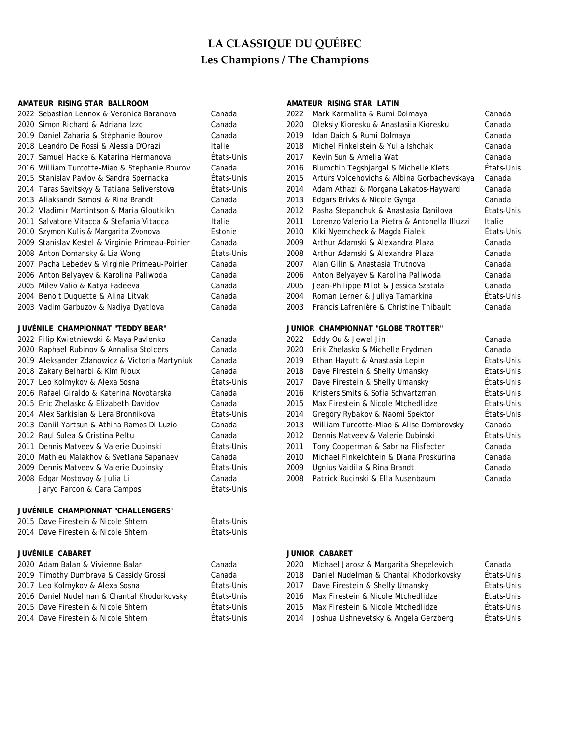### AMATEUR RISING STAR BALLROOM **AMATEUR RISING STAR LATIN**

| 2022 Sebastian Lennox & Veronica Baranova        |
|--------------------------------------------------|
| 2020 Simon Richard & Adriana Izzo                |
| 2019 Daniel Zaharia & Stéphanie Bourov           |
| 2018 Leandro De Rossi & Alessia D'Orazi          |
| 2017 Samuel Hacke & Katarina Hermanova           |
| 2016 William Turcotte-Miao & Stephanie Bourov    |
| 2015 Stanislav Pavlov & Sandra Spernacka         |
| 2014 Taras Savitskyy & Tatiana Seliverstova      |
| 2013 Aliaksandr Samosi & Rina Brandt             |
| 2012 Vladimir Martintson & Maria Gloutkikh       |
| 2011 Salvatore Vitacca & Stefania Vitacca        |
| 2010 Szymon Kulis & Margarita Zvonova            |
| 2009 Stanislav Kestel & Virginie Primeau-Poirier |
| 2008 Anton Domansky & Lia Wong                   |
| 2007 Pacha Lebedev & Virginie Primeau-Poirier    |
| 2006 Anton Belyayev & Karolina Paliwoda          |
| 2005 Milev Valio & Katya Fadeeva                 |
| 2004 Benoit Duquette & Alina Litvak              |
| 2003 Vadim Garbuzov & Nadiya Dyatlova            |
|                                                  |

### JUVÉNILE CHAMPIONNAT "TEDDY BEAR"

| 2022 Filip Kwietniewski & Maya Pavlenko        |
|------------------------------------------------|
| 2020 Raphael Rubinov & Annalisa Stolcers       |
| 2019 Aleksander Zdanowicz & Victoria Martyniuk |
| 2018 Zakary Belharbi & Kim Rioux               |
| 2017 Leo Kolmykov & Alexa Sosna                |
| 2016 Rafael Giraldo & Katerina Novotarska      |
| 2015 Eric Zhelasko & Elizabeth Davidov         |
| 2014 Alex Sarkisian & Lera Bronnikova          |
| 2013 Daniil Yartsun & Athina Ramos Di Luzio    |
| 2012 Raul Sulea & Cristina Peltu               |
| 2011 Dennis Matyeey & Valerie Dubinski         |
| 2010 Mathieu Malakhov & Svetlana Sapanaev      |
| 2009 Dennis Matveev & Valerie Dubinsky         |
| 2008 Edgar Mostovoy & Julia Li                 |
| Jaryd Farcon & Cara Campos                     |
| JUVÉNILE CHAMPIONNAT "CHALLENGERS"             |

| 2015 Dave Firestein & Nicole Shtern | États-Unis |
|-------------------------------------|------------|
| 2014 Dave Firestein & Nicole Shtern | États-Unis |

## **JUVÉNILE CABARET JUNIOR CABARET**

| 2020 Adam Balan & Vivienne Balan            | Canada     |   |
|---------------------------------------------|------------|---|
| 2019 Timothy Dumbrava & Cassidy Grossi      | Canada     | 2 |
| 2017 Leo Kolmykov & Alexa Sosna             | États-Unis | 2 |
| 2016 Daniel Nudelman & Chantal Khodorkovsky | États-Unis | 2 |
| 2015 Dave Firestein & Nicole Shtern         | États-Unis | 2 |
| 2014 Dave Firestein & Nicole Shtern         | États-Unis | 2 |

| 2022 Sebastian Lennox & Veronica Baranova        | Canada     | 2022 | Mark Karmalita & Rumi Dolmaya                 | Canada     |
|--------------------------------------------------|------------|------|-----------------------------------------------|------------|
| 2020 Simon Richard & Adriana Izzo                | Canada     | 2020 | Oleksiy Kioresku & Anastasiia Kioresku        | Canada     |
| 2019 Daniel Zaharia & Stéphanie Bourov           | Canada     | 2019 | Idan Daich & Rumi Dolmaya                     | Canada     |
| 2018 Leandro De Rossi & Alessia D'Orazi          | Italie     | 2018 | Michel Finkelstein & Yulia Ishchak            | Canada     |
| 2017 Samuel Hacke & Katarina Hermanova           | États-Unis | 2017 | Kevin Sun & Amelia Wat                        | Canada     |
| 2016 William Turcotte-Miao & Stephanie Bourov    | Canada     | 2016 | Blumchin Tegshjargal & Michelle Klets         | États-Unis |
| 2015 Stanislav Pavlov & Sandra Spernacka         | États-Unis | 2015 | Arturs Volcehovichs & Albina Gorbachevskaya   | Canada     |
| 2014 Taras Savitskyy & Tatiana Seliverstova      | États-Unis | 2014 | Adam Athazi & Morgana Lakatos-Hayward         | Canada     |
| 2013 Aliaksandr Samosi & Rina Brandt             | Canada     | 2013 | Edgars Brivks & Nicole Gynga                  | Canada     |
| 2012 Vladimir Martintson & Maria Gloutkikh       | Canada     | 2012 | Pasha Stepanchuk & Anastasia Danilova         | États-Unis |
| 2011 Salvatore Vitacca & Stefania Vitacca        | Italie     | 2011 | Lorenzo Valerio La Pietra & Antonella Illuzzi | Italie     |
| 2010 Szymon Kulis & Margarita Zvonova            | Estonie    | 2010 | Kiki Nyemcheck & Magda Fialek                 | États-Unis |
| 2009 Stanislav Kestel & Virginie Primeau-Poirier | Canada     | 2009 | Arthur Adamski & Alexandra Plaza              | Canada     |
| 2008 Anton Domansky & Lia Wong                   | États-Unis | 2008 | Arthur Adamski & Alexandra Plaza              | Canada     |
| 2007 Pacha Lebedev & Virginie Primeau-Poirier    | Canada     | 2007 | Alan Gilin & Anastasia Trutnova               | Canada     |
| 2006 Anton Belyayev & Karolina Paliwoda          | Canada     | 2006 | Anton Belyayev & Karolina Paliwoda            | Canada     |
| 2005 Milev Valio & Katya Fadeeva                 | Canada     | 2005 | Jean-Philippe Milot & Jessica Szatala         | Canada     |
| 2004 Benoit Duquette & Alina Litvak              | Canada     | 2004 | Roman Lerner & Juliya Tamarkina               | États-Unis |
| 2003 Vadim Garbuzov & Nadiya Dyatlova            | Canada     | 2003 | Francis Lafrenière & Christine Thibault       | Canada     |
| JUVÉNILE CHAMPIONNAT "TEDDY BEAR"                |            |      | JUNIOR CHAMPIONNAT "GLOBE TROTTER"            |            |
| 2022 Filip Kwietniewski & Maya Pavlenko          | Canada     | 2022 | Eddy Ou & Jewel Jin                           | Canada     |
| 2020 Raphael Rubinov & Annalisa Stolcers         | Canada     | 2020 | Erik Zhelasko & Michelle Frydman              | Canada     |
| 2019 Aleksander Zdanowicz & Victoria Martyniuk   | Canada     | 2019 | Ethan Hayutt & Anastasia Lepin                | États-Unis |
| 2018 Zakary Belharbi & Kim Rioux                 | Canada     | 2018 | Dave Firestein & Shelly Umansky               | États-Unis |
| 2017 Leo Kolmykov & Alexa Sosna                  | États-Unis | 2017 | Dave Firestein & Shelly Umansky               | États-Unis |
| 2016 Rafael Giraldo & Katerina Novotarska        | Canada     | 2016 | Kristers Smits & Sofia Schvartzman            | États-Unis |
| 2015 Eric Zhelasko & Elizabeth Davidov           | Canada     | 2015 | Max Firestein & Nicole Mtchedlidze            | États-Unis |
| 2014 Alex Sarkisian & Lera Bronnikova            | États-Unis | 2014 | Gregory Rybakov & Naomi Spektor               | États-Unis |
| 2013 Daniil Yartsun & Athina Ramos Di Luzio      | Canada     | 2013 | William Turcotte-Miao & Alise Dombrovsky      | Canada     |
| 2012 Raul Sulea & Cristina Peltu                 | Canada     | 2012 | Dennis Matyeev & Valerie Dubinski             | États-Unis |
| 2011 Dennis Matveev & Valerie Dubinski           | États-Unis | 2011 | Tony Cooperman & Sabrina Flisfecter           | Canada     |
| 2010 Mathieu Malakhov & Svetlana Sapanaev        | Canada     | 2010 | Michael Finkelchtein & Diana Proskurina       | Canada     |
| 2009 Dennis Matveev & Valerie Dubinsky           | États-Unis | 2009 | Ugnius Vaidila & Rina Brandt                  | Canada     |

## 2008 Edgar Mostovoy & Julia Li Canada 2008 Patrick Rucinski & Ella Nusenbaum Canada

États-Unis

| 2020 Adam Balan & Vivienne Balan            | Canada     | 2020 Michael Jarosz & Margarita Shepelevich | Canada     |
|---------------------------------------------|------------|---------------------------------------------|------------|
| 2019 Timothy Dumbrava & Cassidy Grossi      | Canada     | 2018 Daniel Nudelman & Chantal Khodorkovsky | États-Unis |
| 2017 Leo Kolmykov & Alexa Sosna             | États-Unis | 2017 Dave Firestein & Shelly Umansky        | États-Unis |
| 2016 Daniel Nudelman & Chantal Khodorkovsky | États-Unis | 2016 Max Firestein & Nicole Mtchedlidze     | États-Unis |
| 2015 Dave Firestein & Nicole Shtern         | États-Unis | 2015 Max Firestein & Nicole Mtchedlidze     | États-Unis |
| 2014 Dave Firestein & Nicole Shtern         | États-Unis | 2014 Joshua Lishnevetsky & Angela Gerzberg  | États-Unis |
|                                             |            |                                             |            |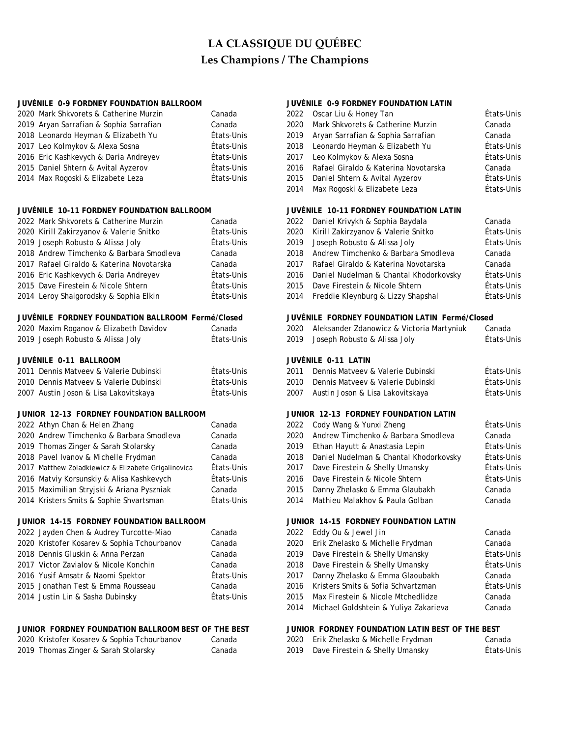### **JUVÉNILE 0-9 FORDNEY FOUNDATION BALLROOM JUVÉNILE 0-9 FORDNEY FOUNDATION LATIN**

| 2020 Mark Shkvorets & Catherine Murzin  | Canada     | 2022 Oscar Liu & Honey Tan                | États-Unis |
|-----------------------------------------|------------|-------------------------------------------|------------|
| 2019 Aryan Sarrafian & Sophia Sarrafian | Canada     | 2020 Mark Shkvorets & Catherine Murzin    | Canada     |
| 2018 Leonardo Heyman & Elizabeth Yu     | États-Unis | 2019 Aryan Sarrafian & Sophia Sarrafian   | Canada     |
| 2017 Leo Kolmykov & Alexa Sosna         | États-Unis | 2018 Leonardo Heyman & Elizabeth Yu       | États-Unis |
| 2016 Eric Kashkevych & Daria Andreyev   | États-Unis | 2017 Leo Kolmykov & Alexa Sosna           | États-Unis |
| 2015 Daniel Shtern & Avital Ayzerov     | États-Unis | 2016 Rafael Giraldo & Katerina Novotarska | Canada     |
| 2014 Max Rogoski & Elizabete Leza       | États-Unis | 2015 Daniel Shtern & Avital Ayzerov       | États-Unis |

## 2022 Mark Shkvorets & Catherine Murzin Canada 2020 Kirill Zakirzyanov & Valerie Snitko États-Unis 2020 Kirill Zakirzyanov & Valerie Snitko États-Unis 2019 Joseph Robusto & Alissa Joly États-Unis 2019 Joseph Robusto & Alissa Joly États-Unis 2018 Andrew Timchenko & Barbara Smodleva Canada 2018 Andrew Timchenko & Barbara Smodleva Canada 2017 Rafael Giraldo & Katerina Novotarska Canada 2017 Rafael Giraldo & Katerina Novotarska Canada 2016 Eric Kashkevych & Daria Andreyev États-Unis 2015 Dave Firestein & Nicole Shtern États-Unis 2015 Dave Firestein & Nicole Shtern États-Unis 2014 Leroy Shaigorodsky & Sophia Elkin Freddie Kats-Unis **JUVÉNILE 10-11 FORDNEY FOUNDATION BALLROOM JUVÉNILE 10-11 FORDNEY FOUNDATION LATIN**

## **JUVÉNILE FORDNEY FOUNDATION BALLROOM Fermé/Closed JUVÉNILE FORDNEY FOUNDATION LATIN Fermé/Closed**

| JUVÉNILE 0-11 BALLROOM                 |            |      | JUVÉNILE 0-11 LATIN                       |         |
|----------------------------------------|------------|------|-------------------------------------------|---------|
| 2019 Joseph Robusto & Alissa Joly      | États-Unis |      | 2019 Joseph Robusto & Alissa Joly         | États-U |
| 2020 Maxim Roganov & Elizabeth Davidov | Canada     | 2020 | Aleksander Zdanowicz & Victoria Martyniuk | Canada  |

| 2011 Dennis Matyeey & Valerie Dubinski | Ftats-Unis | 2011 Dennis Matyeev & Valerie Dubinski  | États-Unis |
|----------------------------------------|------------|-----------------------------------------|------------|
| 2010 Dennis Matyeey & Valerie Dubinski | Ftats-Unis | 2010 Dennis Matyeey & Valerie Dubinski  | États-Unis |
| 2007 Austin Joson & Lisa Lakovitskava  | Etats-Unis | 2007 – Austin Joson & Lisa Lakovitskava | États-Unis |

## **JUNIOR 12-13 FORDNEY FOUNDATION BALLROOM JUNIOR 12-13 FORDNEY FOUNDATION LATIN**

| 2022 Athyn Chan & Helen Zhang                       | Canada     |      | 2022 Cody Wang & Yunxi Zheng           | États-U |
|-----------------------------------------------------|------------|------|----------------------------------------|---------|
| 2020 Andrew Timchenko & Barbara Smodleva            | Canada     | 2020 | Andrew Timchenko & Barbara Smodleva    | Canada  |
| 2019 Thomas Zinger & Sarah Stolarsky                | Canada     | 2019 | Ethan Hayutt & Anastasia Lepin         | États-U |
| 2018 Pavel Ivanov & Michelle Frydman                | Canada     | 2018 | Daniel Nudelman & Chantal Khodorkovsky | États-U |
| 2017 Matthew Zoladkiewicz & Elizabete Grigalinovica | États-Unis | 2017 | Dave Firestein & Shelly Umansky        | États-U |
| 2016 Matviy Korsunskiy & Alisa Kashkevych           | États-Unis | 2016 | Dave Firestein & Nicole Shtern         | États-U |
| 2015 Maximilian Stryjski & Ariana Pyszniak          | Canada     | 2015 | Danny Zhelasko & Emma Glaubakh         | Canada  |
| 2014 Kristers Smits & Sophie Shvartsman             | États-Unis |      | 2014 Mathieu Malakhov & Paula Golban   | Canada  |

## **JUNIOR 14-15 FORDNEY FOUNDATION BALLROOM JUNIOR 14-15 FORDNEY FOUNDATION LATIN**

| 2022 Jayden Chen & Audrey Turcotte-Miao     | Canada     |
|---------------------------------------------|------------|
| 2020 Kristofer Kosarev & Sophia Tchourbanov | Canada     |
| 2018 Dennis Gluskin & Anna Perzan           | Canada     |
| 2017 Victor Zavialov & Nicole Konchin       | Canada     |
| 2016 Yusif Amsatr & Naomi Spektor           | États-Unis |
| 2015 Jonathan Test & Emma Rousseau          | Canada     |
| 2014 Justin Lin & Sasha Dubinsky            | États-Unis |
|                                             |            |

## **JUNIOR FORDNEY FOUNDATION BALLROOM BEST OF THE BEST JUNIOR FORDNEY FOUNDATION LATIN BEST OF THE BEST**

| 2020 Kristofer Kosarev & Sophia Tchourbanov | ∴anada | 2020 Erik Zhelasko & Michelle Frydman | Canada  |
|---------------------------------------------|--------|---------------------------------------|---------|
| 2019 Thomas Zinger & Sarah Stolarsky        | Janada | 2019 Dave Firestein & Shelly Umansky  | États-U |

| 2022 | Oscar Liu & Honey Tan                | États-Unis |
|------|--------------------------------------|------------|
| 2020 | Mark Shkvorets & Catherine Murzin    | Canada     |
| 2019 | Aryan Sarrafian & Sophia Sarrafian   | Canada     |
| 2018 | Leonardo Heyman & Elizabeth Yu       | États-Unis |
| 2017 | Leo Kolmykov & Alexa Sosna           | États-Unis |
| 2016 | Rafael Giraldo & Katerina Novotarska | Canada     |
| 2015 | Daniel Shtern & Avital Ayzerov       | États-Unis |
| 2014 | Max Rogoski & Elizabete Leza         | États-Unis |
|      |                                      |            |

|      | 2022 Daniel Krivykh & Sophia Baydala   | Canada     |
|------|----------------------------------------|------------|
| 2020 | Kirill Zakirzyanov & Valerie Snitko    | États-Unis |
| 2019 | Joseph Robusto & Alissa Joly           | États-Unis |
| 2018 | Andrew Timchenko & Barbara Smodleva    | Canada     |
| 2017 | Rafael Giraldo & Katerina Novotarska   | Canada     |
| 2016 | Daniel Nudelman & Chantal Khodorkovsky | États-Unis |
| 2015 | Dave Firestein & Nicole Shtern         | États-Unis |
| 2014 | Freddie Kleynburg & Lizzy Shapshal     | États-Unis |
|      |                                        |            |

| 2020 Maxim Roganov & Elizabeth Davidov<br>2019 Joseph Robusto & Alissa Joly | Canada<br>États-Unis | 2020 Aleksander Zdanowicz & Victoria Martyniuk<br>2019 Joseph Robusto & Alissa Joly | Canada<br>États-Unis |
|-----------------------------------------------------------------------------|----------------------|-------------------------------------------------------------------------------------|----------------------|
| JUVÉNILE 0-11 BALLROOM<br>2011 Dennis Matveev & Valerie Dubinski            | États-Unis           | JUVÉNILE 0-11 LATIN<br>Dennis Matyeey & Valerie Dubinski<br>2011                    | États-Unis           |
|                                                                             |                      |                                                                                     |                      |

| 2010 Dennis Matveev & Valerie Dubinski | Etats-Unis | 2010 Dennis Matyeev & Valerie Dubinski | Etats-Unis |
|----------------------------------------|------------|----------------------------------------|------------|
| 2007 Austin Joson & Lisa Lakovitskaya  | États-Unis | 2007 Austin Joson & Lisa Lakovitskaya  | États-Unis |

| Canada     |
|------------|
|            |
| États-Unis |
| États-Unis |
| États-Unis |
| États-Unis |
| Canada     |
| Canada     |
|            |
|            |

## 2022 Eddy Ou & Jewel Jin Canada 2022 Eddy Ou & Jewel Jin 2020 Erik Zhelasko & Michelle Frydman Canada 2019 Dave Firestein & Shelly Umansky **Etats-Unis** 2018 Dave Firestein & Shelly Umansky **Etats-Unis** 2017 Danny Zhelasko & Emma Glaoubakh Canada 2016 Kristers Smits & Sofia Schvartzman Fetats-Unis 2015 Max Firestein & Nicole Mtchedlidze Canada 2014 Michael Goldshtein & Yuliya Zakarieva Canada

| 2020 Kristofer Kosarev & Sophia Tchourbanov | Canada | 2020 Erik Zhelasko & Michelle Frydman | Canada     |
|---------------------------------------------|--------|---------------------------------------|------------|
| 2019 Thomas Zinger & Sarah Stolarsky        | Canada | 2019 Dave Firestein & Shelly Umansky  | États-Unis |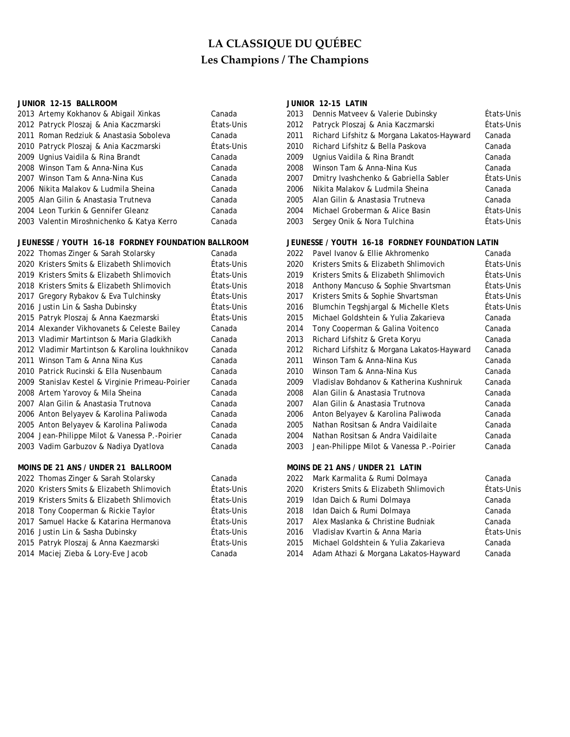## **JUNIOR 12-15 BALLROOM JUNIOR 12-15 LATIN**

| 2013 Artemy Kokhanov & Abigail Xinkas      | Canada   |
|--------------------------------------------|----------|
| 2012 Patryck Ploszaj & Ania Kaczmarski     | États-Ur |
| 2011 Roman Redziuk & Anastasia Soboleva    | Canada   |
| 2010 Patryck Ploszaj & Ania Kaczmarski     | États-Ur |
| 2009 Ugnius Vaidila & Rina Brandt          | Canada   |
| 2008 Winson Tam & Anna-Nina Kus            | Canada   |
| 2007 Winson Tam & Anna-Nina Kus            | Canada   |
| 2006 Nikita Malakov & Ludmila Sheina       | Canada   |
| 2005 Alan Gilin & Anastasia Trutneva       | Canada   |
| 2004 Leon Turkin & Gennifer Gleanz         | Canada   |
| 2003 Valentin Miroshnichenko & Katya Kerro | Canada   |

## **JEUNESSE / YOUTH 16-18 FORDNEY FOUNDATION BALLROOM JEUNESSE / YOUTH 16-18 FORDNEY FOUNDATION LATIN**

| 2022 Thomas Zinger & Sarah Stolarsky             |
|--------------------------------------------------|
| 2020 Kristers Smits & Elizabeth Shlimovich       |
| 2019 Kristers Smits & Elizabeth Shlimovich       |
| 2018 Kristers Smits & Elizabeth Shlimovich       |
| 2017 Gregory Rybakov & Eva Tulchinsky            |
| 2016 Justin Lin & Sasha Dubinsky                 |
| 2015 Patryk Ploszaj & Anna Kaezmarski            |
| 2014 Alexander Vikhovanets & Celeste Bailey      |
| 2013 Vladimir Martintson & Maria Gladkikh        |
| 2012 Vladimir Martintson & Karolina loukhnikov   |
| 2011 Winson Tam & Anna Nina Kus                  |
| 2010 Patrick Rucinski & Ella Nusenbaum           |
| 2009 Stanislav Kestel & Virginie Primeau-Poirier |
| 2008 Artem Yarovoy & Mila Sheina                 |
| 2007 Alan Gilin & Anastasia Trutnova             |
| 2006 Anton Belyayev & Karolina Paliwoda          |
| 2005 Anton Belyayev & Karolina Paliwoda          |
| 2004 Jean-Philippe Milot & Vanessa P.-Poirier    |
| 2003 Vadim Garbuzov & Nadiya Dyatlova            |
|                                                  |

## **MOINS DE 21 ANS / UNDER 21 BALLROOM MOINS DE 21 ANS / UNDER 21 LATIN**

| 2022 Thomas Zinger & Sarah Stolarsky       | Canada  |
|--------------------------------------------|---------|
| 2020 Kristers Smits & Elizabeth Shlimovich | États-U |
| 2019 Kristers Smits & Elizabeth Shlimovich | États-U |
| 2018 Tony Cooperman & Rickie Taylor        | États-U |
| 2017 Samuel Hacke & Katarina Hermanova     | États-U |
| 2016 Justin Lin & Sasha Dubinsky           | États-U |
| 2015 Patryk Ploszaj & Anna Kaezmarski      | États-U |
| 2014 Maciej Zieba & Lory-Eve Jacob         | Canada  |

| 2013 Artemy Kokhanov & Abigail Xinkas      | Canada     | 2013 | Dennis Matveev & Valerie Dubinsky          | États-Unis |
|--------------------------------------------|------------|------|--------------------------------------------|------------|
| 2012 Patryck Ploszaj & Ania Kaczmarski     | États-Unis |      | 2012 Patryck Ploszaj & Ania Kaczmarski     | États-Unis |
| 2011 Roman Redziuk & Anastasia Soboleva    | Canada     | 2011 | Richard Lifshitz & Morgana Lakatos-Hayward | Canada     |
| 2010 Patryck Ploszaj & Ania Kaczmarski     | États-Unis | 2010 | Richard Lifshitz & Bella Paskova           | Canada     |
| 2009 Ugnius Vaidila & Rina Brandt          | Canada     | 2009 | Ugnius Vaidila & Rina Brandt               | Canada     |
| 2008 Winson Tam & Anna-Nina Kus            | Canada     | 2008 | Winson Tam & Anna-Nina Kus                 | Canada     |
| 2007 Winson Tam & Anna-Nina Kus            | Canada     | 2007 | Dmitry Ivashchenko & Gabriella Sabler      | États-Unis |
| 2006 Nikita Malakov & Ludmila Sheina       | Canada     | 2006 | Nikita Malakov & Ludmila Sheina            | Canada     |
| 2005 Alan Gilin & Anastasia Trutneva       | Canada     | 2005 | Alan Gilin & Anastasia Trutneva            | Canada     |
| 2004 Leon Turkin & Gennifer Gleanz         | Canada     | 2004 | Michael Groberman & Alice Basin            | États-Unis |
| 2003 Valentin Miroshnichenko & Katya Kerro | Canada     | 2003 | Sergey Onik & Nora Tulchina                | États-Unis |

| 2022 Thomas Zinger & Sarah Stolarsky             | Canada     | 2022 | Pavel Ivanov & Ellie Akhromenko            | Canada     |
|--------------------------------------------------|------------|------|--------------------------------------------|------------|
| 2020 Kristers Smits & Elizabeth Shlimovich       | États-Unis | 2020 | Kristers Smits & Elizabeth Shlimovich      | États-Unis |
| 2019 Kristers Smits & Elizabeth Shlimovich       | États-Unis | 2019 | Kristers Smits & Elizabeth Shlimovich      | États-Unis |
| 2018 Kristers Smits & Elizabeth Shlimovich       | États-Unis | 2018 | Anthony Mancuso & Sophie Shvartsman        | États-Unis |
| 2017 Gregory Rybakov & Eva Tulchinsky            | États-Unis | 2017 | Kristers Smits & Sophie Shvartsman         | États-Unis |
| 2016 Justin Lin & Sasha Dubinsky                 | États-Unis | 2016 | Blumchin Tegshjargal & Michelle Klets      | États-Unis |
| 2015 Patryk Ploszaj & Anna Kaezmarski            | États-Unis | 2015 | Michael Goldshtein & Yulia Zakarieva       | Canada     |
| 2014 Alexander Vikhovanets & Celeste Bailey      | Canada     | 2014 | Tony Cooperman & Galina Voitenco           | Canada     |
| 2013 Vladimir Martintson & Maria Gladkikh        | Canada     | 2013 | Richard Lifshitz & Greta Koryu             | Canada     |
| 2012 Vladimir Martintson & Karolina loukhnikov   | Canada     | 2012 | Richard Lifshitz & Morgana Lakatos-Hayward | Canada     |
| 2011 Winson Tam & Anna Nina Kus                  | Canada     | 2011 | Winson Tam & Anna-Nina Kus                 | Canada     |
| 2010 Patrick Rucinski & Ella Nusenbaum           | Canada     | 2010 | Winson Tam & Anna-Nina Kus                 | Canada     |
| 2009 Stanislav Kestel & Virginie Primeau-Poirier | Canada     | 2009 | Vladislav Bohdanov & Katherina Kushniruk   | Canada     |
| 2008 Artem Yarovoy & Mila Sheina                 | Canada     | 2008 | Alan Gilin & Anastasia Trutnova            | Canada     |
| 2007 Alan Gilin & Anastasia Trutnova             | Canada     | 2007 | Alan Gilin & Anastasia Trutnova            | Canada     |
| 2006 Anton Belyayev & Karolina Paliwoda          | Canada     | 2006 | Anton Belyayev & Karolina Paliwoda         | Canada     |
| 2005 Anton Belyayev & Karolina Paliwoda          | Canada     | 2005 | Nathan Rositsan & Andra Vaidilaite         | Canada     |
| 2004 Jean-Philippe Milot & Vanessa P.-Poirier    | Canada     | 2004 | Nathan Rositsan & Andra Vaidilaite         | Canada     |
| 2003 Vadim Garbuzov & Nadiya Dyatlova            | Canada     | 2003 | Jean-Philippe Milot & Vanessa P.-Poirier   | Canada     |
|                                                  |            |      |                                            |            |

| 2022 Thomas Zinger & Sarah Stolarsky       | Canada     | 2022 Mark Karmalita & Rumi Dolmaya         | Canada     |
|--------------------------------------------|------------|--------------------------------------------|------------|
| 2020 Kristers Smits & Elizabeth Shlimovich | États-Unis | 2020 Kristers Smits & Elizabeth Shlimovich | États-Unis |
| 2019 Kristers Smits & Elizabeth Shlimovich | États-Unis | 2019 Idan Daich & Rumi Dolmaya             | Canada     |
| 2018 Tony Cooperman & Rickie Taylor        | États-Unis | 2018 Idan Daich & Rumi Dolmaya             | Canada     |
| 2017 Samuel Hacke & Katarina Hermanova     | États-Unis | 2017 Alex Maslanka & Christine Budniak     | Canada     |
| 2016 Justin Lin & Sasha Dubinsky           | États-Unis | 2016 Vladislav Kvartin & Anna Maria        | États-Unis |
| 2015 Patryk Ploszaj & Anna Kaezmarski      | États-Unis | 2015 Michael Goldshtein & Yulia Zakarieva  | Canada     |
| 2014 Maciej Zieba & Lory-Eve Jacob         | Canada     | 2014 Adam Athazi & Morgana Lakatos-Hayward | Canada     |
|                                            |            |                                            |            |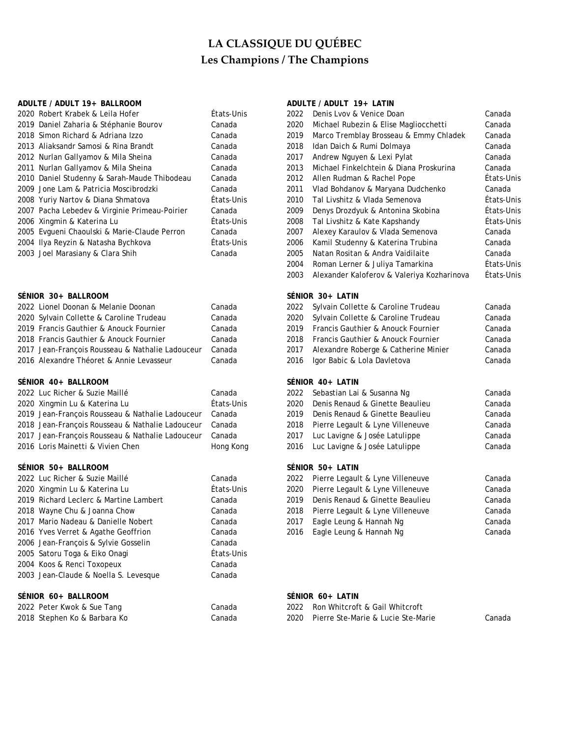## ADULTE / ADULT 19+ BALLROOM ADULTE / ADULTE / ADULT 19+ LATIN

| 2020 Robert Krabek & Leila Hofer                 | États-Unis | 2022 | Denis Lvov & Venice Doan                   | Canada     |
|--------------------------------------------------|------------|------|--------------------------------------------|------------|
| 2019 Daniel Zaharia & Stéphanie Bourov           | Canada     | 2020 | Michael Rubezin & Elise Magliocchetti      | Canada     |
| 2018 Simon Richard & Adriana Izzo                | Canada     | 2019 | Marco Tremblay Brosseau & Emmy Chladek     | Canada     |
| 2013 Aliaksandr Samosi & Rina Brandt             | Canada     | 2018 | Idan Daich & Rumi Dolmaya                  | Canada     |
| 2012 Nurlan Gallyamov & Mila Sheina              | Canada     | 2017 | Andrew Nguyen & Lexi Pylat                 | Canada     |
| 2011 Nurlan Gallyamov & Mila Sheina              | Canada     | 2013 | Michael Finkelchtein & Diana Proskurina    | Canada     |
| 2010 Daniel Studenny & Sarah-Maude Thibodeau     | Canada     | 2012 | Allen Rudman & Rachel Pope                 | États-Unis |
| 2009 Jone Lam & Patricia Moscibrodzki            | Canada     | 2011 | Vlad Bohdanov & Maryana Dudchenko          | Canada     |
| 2008 Yuriy Nartov & Diana Shmatova               | États-Unis | 2010 | Tal Livshitz & Vlada Semenova              | États-Unis |
| 2007 Pacha Lebedev & Virginie Primeau-Poirier    | Canada     | 2009 | Denys Drozdyuk & Antonina Skobina          | Etats-Unis |
| 2006 Xingmin & Katerina Lu                       | Etats-Unis | 2008 | Tal Livshitz & Kate Kapshandy              | États-Unis |
| 2005 Evgueni Chaoulski & Marie-Claude Perron     | Canada     | 2007 | Alexey Karaulov & Vlada Semenova           | Canada     |
| 2004 Ilya Reyzin & Natasha Bychkova              | États-Unis | 2006 | Kamil Studenny & Katerina Trubina          | Canada     |
| 2003 Joel Marasiany & Clara Shih                 | Canada     | 2005 | Natan Rositan & Andra Vaidilaite           | Canada     |
|                                                  |            | 2004 | Roman Lerner & Juliya Tamarkina            | États-Unis |
|                                                  |            | 2003 | Alexander Kaloferov & Valeriya Kozharinova | États-Unis |
| SÉNIOR 30+ BALLROOM                              |            |      | SÉNIOR 30+ LATIN                           |            |
| 2022 Lionel Doonan & Melanie Doonan              | Canada     | 2022 | Sylvain Collette & Caroline Trudeau        | Canada     |
| 2020 Sylvain Collette & Caroline Trudeau         | Canada     | 2020 | Sylvain Collette & Caroline Trudeau        | Canada     |
| 2019 Francis Gauthier & Anouck Fournier          | Canada     | 2019 | Francis Gauthier & Anouck Fournier         | Canada     |
| 2018 Francis Gauthier & Anouck Fournier          | Canada     | 2018 | Francis Gauthier & Anouck Fournier         | Canada     |
| 2017 Jean-François Rousseau & Nathalie Ladouceur | Canada     | 2017 | Alexandre Roberge & Catherine Minier       | Canada     |
| 2016 Alexandre Théoret & Annie Levasseur         | Canada     | 2016 | Igor Babic & Lola Davletova                | Canada     |
| SENIOR 40+ BALLROOM                              |            |      | SENIOR 40+ LATIN                           |            |
| 2022 Luc Richer & Suzie Maillé                   | Canada     | 2022 | Sebastian Lai & Susanna Ng                 | Canada     |
| 2020 Xingmin Lu & Katerina Lu                    | États-Unis | 2020 | Denis Renaud & Ginette Beaulieu            | Canada     |
| 2019 Jean-François Rousseau & Nathalie Ladouceur | Canada     | 2019 | Denis Renaud & Ginette Beaulieu            | Canada     |
| 2018 Jean-François Rousseau & Nathalie Ladouceur | Canada     | 2018 | Pierre Legault & Lyne Villeneuve           | Canada     |
| 2017 Jean-François Rousseau & Nathalie Ladouceur | Canada     | 2017 | Luc Lavigne & Josée Latulippe              | Canada     |
| 2016 Loris Mainetti & Vivien Chen                | Hong Kong  | 2016 | Luc Lavigne & Josée Latulippe              | Canada     |
| SENIOR 50+ BALLROOM                              |            |      | SÉNIOR 50+ LATIN                           |            |
| 2022 Luc Richer & Suzie Maillé                   | Canada     | 2022 | Pierre Legault & Lyne Villeneuve           | Canada     |
| 2020 Xingmin Lu & Katerina Lu                    | États-Unis | 2020 | Pierre Legault & Lyne Villeneuve           | Canada     |
| 2019 Richard Leclerc & Martine Lambert           | Canada     | 2019 | Denis Renaud & Ginette Beaulieu            | Canada     |
| 2018 Wayne Chu & Joanna Chow                     | Canada     | 2018 | Pierre Legault & Lyne Villeneuve           | Canada     |
| 2017 Mario Nadeau & Danielle Nobert              | Canada     | 2017 | Eagle Leung & Hannah Ng                    | Canada     |
| 2016 Yves Verret & Agathe Geoffrion              | Canada     | 2016 | Eagle Leung & Hannah Ng                    | Canada     |
| 2006 Jean-François & Sylvie Gosselin             | Canada     |      |                                            |            |
| 2005 Satoru Toga & Eiko Onagi                    | États-Unis |      |                                            |            |
| 2004 Koos & Renci Toxopeux                       | Canada     |      |                                            |            |
| 2003 Jean-Claude & Noella S. Levesque            | Canada     |      |                                            |            |
| SÉNIOR 60+ BALLROOM                              |            |      | SÉNIOR 60+ LATIN                           |            |
| 2022 Peter Kwok & Sue Tang                       | Canada     | 2022 | Ron Whitcroft & Gail Whitcroft             |            |
| 2018 Stephen Ko & Barbara Ko                     | Canada     | 2020 | Pierre Ste-Marie & Lucie Ste-Marie         | Canada     |

| 2022 | Denis Lvov & Venice Doan                   | Canada     |
|------|--------------------------------------------|------------|
| 2020 | Michael Rubezin & Elise Magliocchetti      | Canada     |
| 2019 | Marco Tremblay Brosseau & Emmy Chladek     | Canada     |
| 2018 | Idan Daich & Rumi Dolmaya                  | Canada     |
| 2017 | Andrew Nguyen & Lexi Pylat                 | Canada     |
| 2013 | Michael Finkelchtein & Diana Proskurina    | Canada     |
| 2012 | Allen Rudman & Rachel Pope                 | États-Unis |
| 2011 | Vlad Bohdanov & Maryana Dudchenko          | Canada     |
| 2010 | Tal Livshitz & Vlada Semenova              | États-Unis |
| 2009 | Denys Drozdyuk & Antonina Skobina          | États-Unis |
| 2008 | Tal Livshitz & Kate Kapshandy              | États-Unis |
| 2007 | Alexey Karaulov & Vlada Semenova           | Canada     |
| 2006 | Kamil Studenny & Katerina Trubina          | Canada     |
| 2005 | Natan Rositan & Andra Vaidilaite           | Canada     |
| 2004 | Roman Lerner & Juliya Tamarkina            | États-Unis |
| 2003 | Alexander Kaloferov & Valeriya Kozharinova | États-Unis |
|      | SÉNIOR 30+ LATIN                           |            |
| 2022 | Sylvain Collette & Caroline Trudeau        | Canada     |
| 2020 | Sylvain Collette & Caroline Trudeau        | Canada     |
| 2019 | Francis Gauthier & Anouck Fournier         | Canada     |
| 2018 | Francis Gauthier & Anouck Fournier         | Canada     |
| 2017 | Alexandre Roberge & Catherine Minier       | Canada     |
| 2016 | Igor Babic & Lola Davletova                | Canada     |
|      | SÉNIOR 40+ LATIN                           |            |
| 2022 | Sebastian Lai & Susanna Ng                 | Canada     |
| 2020 | Denis Renaud & Ginette Beaulieu            | Canada     |
|      |                                            |            |

| zuzz - Sepastian Lai & Susanna Ng     | canada |
|---------------------------------------|--------|
| 2020 Denis Renaud & Ginette Beaulieu  | Canada |
| 2019 Denis Renaud & Ginette Beaulieu  | Canada |
| 2018 Pierre Legault & Lyne Villeneuve | Canada |
| 2017 Luc Lavigne & Josée Latulippe    | Canada |
| 2016 Luc Lavigne & Josée Latulippe    | Canada |
|                                       |        |

## **SÉNIOR 50+ BALLROOM SÉNIOR 50+ LATIN**

| 2022 Pierre Legault & Lyne Villeneuve | Canada |
|---------------------------------------|--------|
| 2020 Pierre Legault & Lyne Villeneuve | Canada |
| 2019 Denis Renaud & Ginette Beaulieu  | Canada |
| 2018 Pierre Legault & Lyne Villeneuve | Canada |
| 2017 Eagle Leung & Hannah Ng          | Canada |
| 2016 Eagle Leung & Hannah Ng          | Canada |
|                                       |        |

## SÉNIOR 60+ LATIN

| 2022 | Ron Whitcroft & Gail Whitcroft     |
|------|------------------------------------|
| 2020 | Pierre Ste-Marie & Lucie Ste-Marie |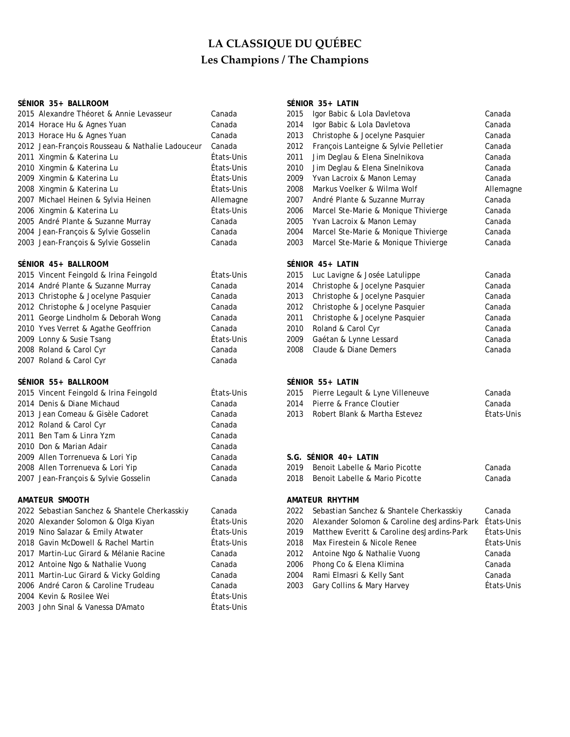## **SÉNIOR 35+ BALLROOM SÉNIOR 35+ LATIN**

| 2015 Alexandre Théoret & Annie Levasseur         | Can  |
|--------------------------------------------------|------|
| 2014 Horace Hu & Agnes Yuan                      | Can  |
| 2013 Horace Hu & Agnes Yuan                      | Can  |
| 2012 Jean-François Rousseau & Nathalie Ladouceur | Can  |
| 2011 Xingmin & Katerina Lu                       | Éta  |
| 2010 Xingmin & Katerina Lu                       | Éta  |
| 2009 Xingmin & Katerina Lu                       | Éta  |
| 2008 Xingmin & Katerina Lu                       | Éta  |
| 2007 Michael Heinen & Sylvia Heinen              | Alle |
| 2006 Xingmin & Katerina Lu                       | Éta  |
| 2005 André Plante & Suzanne Murray               | Can  |
| 2004 Jean-François & Sylvie Gosselin             | Can  |
| 2003 Jean-Francois & Sylvie Gosselin             | Can  |

## SÉNIOR 45+ BALLROOM

| 2015 Vincent Feingold & Irina Feingold | États-Unis | 2015 | Luc Lavigne & Josée Latulippe  | Canada |
|----------------------------------------|------------|------|--------------------------------|--------|
| 2014 André Plante & Suzanne Murray     | Canada     | 2014 | Christophe & Jocelyne Pasquier | Canada |
| 2013 Christophe & Jocelyne Pasquier    | Canada     | 2013 | Christophe & Jocelyne Pasquier | Canada |
| 2012 Christophe & Jocelyne Pasquier    | Canada     | 2012 | Christophe & Jocelyne Pasquier | Canada |
| 2011 George Lindholm & Deborah Wong    | Canada     | 2011 | Christophe & Jocelyne Pasquier | Canada |
| 2010 Yves Verret & Agathe Geoffrion    | Canada     | 2010 | Roland & Carol Cyr             | Canada |
| 2009 Lonny & Susie Tsang               | États-Unis | 2009 | Gaétan & Lynne Lessard         | Canada |
| 2008 Roland & Carol Cyr                | Canada     | 2008 | Claude & Diane Demers          | Canada |
| 2007 Roland & Carol Cyr                | Canada     |      |                                |        |

### **SÉNIOR 55+ BALLROOM SÉNIOR 55+ LATIN**

| 2015 Vincent Feingold & Irina Feingold        | États-Unis | Pierre Legault & Lyne Villeneuve<br>2015             | Canada  |
|-----------------------------------------------|------------|------------------------------------------------------|---------|
| 2014 Denis & Diane Michaud                    | Canada     | Pierre & France Cloutier<br>2014                     | Canada  |
| 2013 Jean Comeau & Gisèle Cadoret             | Canada     | Robert Blank & Martha Estevez<br>2013                | États-U |
| 2012 Roland & Carol Cyr                       | Canada     |                                                      |         |
| 2011 Ben Tam & Linra Yzm                      | Canada     |                                                      |         |
| 2010 Don & Marian Adair                       | Canada     |                                                      |         |
| 2009 Allen Torrenueva & Lori Yip              | Canada     | $S.G.$ SÉNIOR 40+ LATIN                              |         |
| 2008 Allen Torrenueva & Lori Yip              | Canada     | Benoit Labelle & Mario Picotte<br>2019               | Canada  |
| 2007 Jean-François & Sylvie Gosselin          | Canada     | Benoit Labelle & Mario Picotte<br>2018               | Canada  |
| AMATEUR SMOOTH                                |            | AMATEUR RHYTHM                                       |         |
| 2022 Sebastian Sanchez & Shantele Cherkasskiy | Canada     | Sebastian Sanchez & Shantele Cherkasskiy<br>2022     | Canada  |
| 2020 Alexander Solomon & Olga Kiyan           | États-Unis | Alexander Solomon & Caroline desJardins-Park<br>2020 | États-U |

| 2020 Alexander Solomon & Olga Kiyan     | États-Unis |
|-----------------------------------------|------------|
| 2019 Nino Salazar & Emily Atwater       | États-Unis |
| 2018 Gavin McDowell & Rachel Martin     | États-Unis |
| 2017 Martin-Luc Girard & Mélanie Racine | Canada     |
| 2012 Antoine Ngo & Nathalie Vuong       | Canada     |
| 2011 Martin-Luc Girard & Vicky Golding  | Canada     |
| 2006 André Caron & Caroline Trudeau     | Canada     |
| 2004 Kevin & Rosilee Wei                | États-Unis |
| 2003 John Sinal & Vanessa D'Amato       | États-Unis |

| 2015 Alexandre Théoret & Annie Levasseur         | Canada     | 2015 | Igor Babic & Lola Davletova           | Canada    |
|--------------------------------------------------|------------|------|---------------------------------------|-----------|
| 2014 Horace Hu & Agnes Yuan                      | Canada     | 2014 | Igor Babic & Lola Davletova           | Canada    |
| 2013 Horace Hu & Agnes Yuan                      | Canada     | 2013 | Christophe & Jocelyne Pasquier        | Canada    |
| 2012 Jean-François Rousseau & Nathalie Ladouceur | Canada     | 2012 | François Lanteigne & Sylvie Pelletier | Canada    |
| 2011 Xingmin & Katerina Lu                       | États-Unis | 2011 | Jim Deglau & Elena Sinelnikova        | Canada    |
| 2010 Xingmin & Katerina Lu                       | États-Unis | 2010 | Jim Deglau & Elena Sinelnikova        | Canada    |
| 2009 Xingmin & Katerina Lu                       | États-Unis | 2009 | Yvan Lacroix & Manon Lemay            | Canada    |
| 2008 Xingmin & Katerina Lu                       | États-Unis | 2008 | Markus Voelker & Wilma Wolf           | Allemagne |
| 2007 Michael Heinen & Sylvia Heinen              | Allemagne  | 2007 | André Plante & Suzanne Murray         | Canada    |
| 2006 Xingmin & Katerina Lu                       | États-Unis | 2006 | Marcel Ste-Marie & Monique Thivierge  | Canada    |
| 2005 André Plante & Suzanne Murray               | Canada     | 2005 | Yvan Lacroix & Manon Lemay            | Canada    |
| 2004 Jean-François & Sylvie Gosselin             | Canada     | 2004 | Marcel Ste-Marie & Monique Thivierge  | Canada    |
| 2003 Jean-François & Sylvie Gosselin             | Canada     | 2003 | Marcel Ste-Marie & Monique Thivierge  | Canada    |
| SÉNIOR 45+ BALLROOM                              |            |      | SÉNIOR 45+ LATIN                      |           |
| 2015 Vincent Feingold & Irina Feingold           | États-Unis | 2015 | Luc Lavigne & Josée Latulippe         | Canada    |
|                                                  |            |      |                                       |           |

| 2015 | Luc Lavigne & Josée Latulippe  | Canada |
|------|--------------------------------|--------|
| 2014 | Christophe & Jocelyne Pasquier | Canada |
| 2013 | Christophe & Jocelyne Pasquier | Canada |
| 2012 | Christophe & Jocelyne Pasquier | Canada |
| 2011 | Christophe & Jocelyne Pasquier | Canada |
| 2010 | Roland & Carol Cyr             | Canada |
| 2009 | Gaétan & Lynne Lessard         | Canada |
| 2008 | Claude & Diane Demers          | Canada |

| 2015 Vincent Feingold & Irina Feingold | Etats-Unis |      | 2015 Pierre Legault & Lyne Villeneuve | Canada     |
|----------------------------------------|------------|------|---------------------------------------|------------|
| 2014 Denis & Diane Michaud             | Canadal    |      | 2014 Pierre & France Cloutier         | Canada     |
| 2013 Jean Comeau & Gisèle Cadoret .    | Canada     | 2013 | Robert Blank & Martha Estevez         | États-Unis |
| $2012$ Delend $0$ Carol Cur.           | $0$ anada  |      |                                       |            |

## **S.G. SÉNIOR 40+ LATIN**

|                                      | ------- |                                     |        |
|--------------------------------------|---------|-------------------------------------|--------|
| 2008 Allen Torrenueva & Lori Yip     | Canada  | 2019 Benoit Labelle & Mario Picotte | Canada |
| 2007 Jean-François & Sylvie Gosselin | Canada  | 2018 Benoit Labelle & Mario Picotte | Canada |

## **AMATEUR RHYTHM**

| 2022 Sebastian Sanchez & Shantele Cherkasskiy | Canada     |      | 2022 Sebastian Sanchez & Shantele Cherkasskiy                | Canada     |
|-----------------------------------------------|------------|------|--------------------------------------------------------------|------------|
| 2020 Alexander Solomon & Olga Kiyan           | États-Unis |      | 2020 Alexander Solomon & Caroline desJardins-Park États-Unis |            |
| 2019 Nino Salazar & Emily Atwater             | États-Unis | 2019 | Matthew Everitt & Caroline desJardins-Park                   | États-Unis |
| 2018 Gavin McDowell & Rachel Martin           | États-Unis | 2018 | Max Firestein & Nicole Renee                                 | États-Unis |
| 2017 Martin-Luc Girard & Mélanie Racine       | Canada     |      | 2012 Antoine Ngo & Nathalie Vuong                            | Canada     |
| 2012 Antoine Ngo & Nathalie Vuong             | Canada     |      | 2006 Phong Co & Elena Klimina                                | Canada     |
| 2011 Martin-Luc Girard & Vicky Golding        | Canada     |      | 2004 Rami Elmasri & Kelly Sant                               | Canada     |
| 2006 André Caron & Caroline Trudeau           | Canada     |      | 2003 Gary Collins & Mary Harvey                              | États-Unis |
| 2001 Kavin & Dociloo Wai                      | Étate Unie |      |                                                              |            |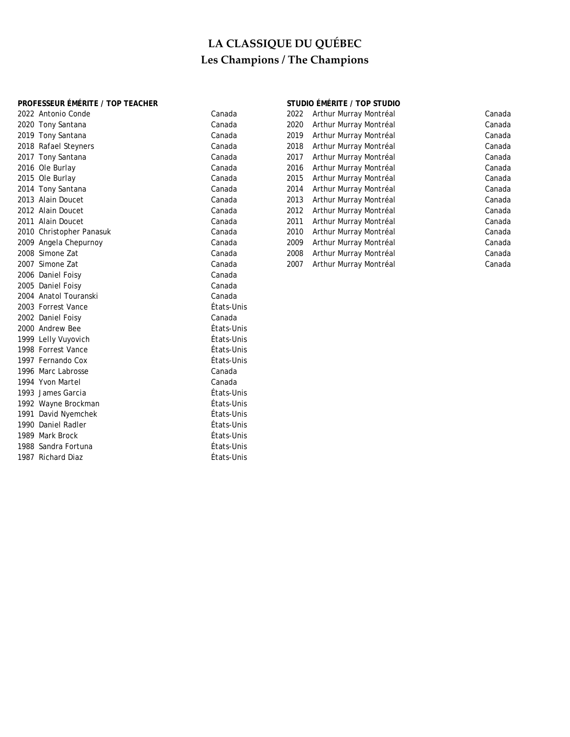## **PROFESSEUR ÉMÉRITE / TOP TEACHER STUDIO ÉMÉRITE / TOP STUDIO**

|      | 2022 Antonio Conde       | Canada     | 2022 | Arthur Murray Montréal | Canada |
|------|--------------------------|------------|------|------------------------|--------|
|      | 2020 Tony Santana        | Canada     | 2020 | Arthur Murray Montréal | Canada |
|      | 2019 Tony Santana        | Canada     | 2019 | Arthur Murray Montréal | Canada |
|      | 2018 Rafael Steyners     | Canada     | 2018 | Arthur Murray Montréal | Canada |
|      | 2017 Tony Santana        | Canada     | 2017 | Arthur Murray Montréal | Canada |
|      | 2016 Ole Burlay          | Canada     | 2016 | Arthur Murray Montréal | Canada |
|      | 2015 Ole Burlay          | Canada     | 2015 | Arthur Murray Montréal | Canada |
|      | 2014 Tony Santana        | Canada     | 2014 | Arthur Murray Montréal | Canada |
|      | 2013 Alain Doucet        | Canada     | 2013 | Arthur Murray Montréal | Canada |
|      | 2012 Alain Doucet        | Canada     | 2012 | Arthur Murray Montréal | Canada |
|      | 2011 Alain Doucet        | Canada     | 2011 | Arthur Murray Montréal | Canada |
|      | 2010 Christopher Panasuk | Canada     | 2010 | Arthur Murray Montréal | Canada |
|      | 2009 Angela Chepurnoy    | Canada     | 2009 | Arthur Murray Montréal | Canada |
|      | 2008 Simone Zat          | Canada     | 2008 | Arthur Murray Montréal | Canada |
|      | 2007 Simone Zat          | Canada     | 2007 | Arthur Murray Montréal | Canada |
|      | 2006 Daniel Foisy        | Canada     |      |                        |        |
|      | 2005 Daniel Foisy        | Canada     |      |                        |        |
|      | 2004 Anatol Touranski    | Canada     |      |                        |        |
|      | 2003 Forrest Vance       | États-Unis |      |                        |        |
|      | 2002 Daniel Foisy        | Canada     |      |                        |        |
|      | 2000 Andrew Bee          | États-Unis |      |                        |        |
|      | 1999 Lelly Vuyovich      | États-Unis |      |                        |        |
|      | 1998 Forrest Vance       | États-Unis |      |                        |        |
|      | 1997 Fernando Cox        | États-Unis |      |                        |        |
|      | 1996 Marc Labrosse       | Canada     |      |                        |        |
|      | 1994 Yvon Martel         | Canada     |      |                        |        |
|      | 1993 James Garcia        | États-Unis |      |                        |        |
|      | 1992 Wayne Brockman      | États-Unis |      |                        |        |
| 1991 | David Nyemchek           | États-Unis |      |                        |        |
|      | 1990 Daniel Radler       | États-Unis |      |                        |        |
|      | 1989 Mark Brock          | États-Unis |      |                        |        |
|      | 1988 Sandra Fortuna      | États-Unis |      |                        |        |
|      | 1987 Richard Diaz        | États-Unis |      |                        |        |
|      |                          |            |      |                        |        |

| 2022 | Arthur Murray Montréal |
|------|------------------------|
| 2020 | Arthur Murray Montréal |
| 2019 | Arthur Murray Montréal |
| 2018 | Arthur Murray Montréal |
| 2017 | Arthur Murray Montréal |
| 2016 | Arthur Murray Montréal |
| 2015 | Arthur Murray Montréal |
| 2014 | Arthur Murray Montréal |
| 2013 | Arthur Murray Montréal |
| 2012 | Arthur Murray Montréal |
| 2011 | Arthur Murray Montréal |
| 2010 | Arthur Murray Montréal |
| 2009 | Arthur Murray Montréal |
| 2008 | Arthur Murray Montréal |
| 2007 | Arthur Murrav Montréal |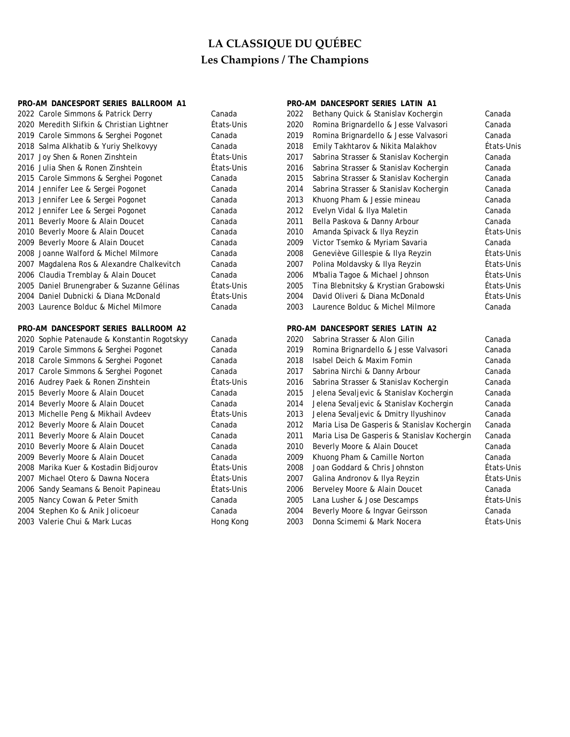| PRO-AM DANCESPORT SERIES BALLROOM A1 |                                              |            |              | PRO-AM DANCESPORT SERIES LATIN A1            |            |
|--------------------------------------|----------------------------------------------|------------|--------------|----------------------------------------------|------------|
|                                      | 2022 Carole Simmons & Patrick Derry          | Canada     | 2022         | Bethany Quick & Stanislav Kochergin          | Canada     |
|                                      | 2020 Meredith Slifkin & Christian Lightner   | États-Unis | 2020         | Romina Brignardello & Jesse Valvasori        | Canada     |
|                                      | 2019 Carole Simmons & Serghei Pogonet        | Canada     | 2019         | Romina Brignardello & Jesse Valvasori        | Canada     |
|                                      | 2018 Salma Alkhatib & Yuriy Shelkovyy        | Canada     | 2018         | Emily Takhtarov & Nikita Malakhov            | États-Unis |
|                                      | 2017 Joy Shen & Ronen Zinshtein              | États-Unis | 2017         | Sabrina Strasser & Stanislav Kochergin       | Canada     |
|                                      | 2016 Julia Shen & Ronen Zinshtein            | États-Unis | 2016         | Sabrina Strasser & Stanislav Kochergin       | Canada     |
|                                      | 2015 Carole Simmons & Serghei Pogonet        | Canada     | 2015         | Sabrina Strasser & Stanislav Kochergin       | Canada     |
|                                      | 2014 Jennifer Lee & Sergei Pogonet           | Canada     | 2014         | Sabrina Strasser & Stanislav Kochergin       | Canada     |
|                                      | 2013 Jennifer Lee & Sergei Pogonet           | Canada     | 2013         | Khuong Pham & Jessie mineau                  | Canada     |
|                                      | 2012 Jennifer Lee & Sergei Pogonet           | Canada     | 2012         | Evelyn Vidal & Ilya Maletin                  | Canada     |
|                                      | 2011 Beverly Moore & Alain Doucet            | Canada     | 2011         | Bella Paskova & Danny Arbour                 | Canada     |
|                                      | 2010 Beverly Moore & Alain Doucet            | Canada     | 2010         | Amanda Spivack & Ilya Reyzin                 | États-Unis |
|                                      | 2009 Beverly Moore & Alain Doucet            | Canada     | 2009         | Victor Tsemko & Myriam Savaria               | Canada     |
|                                      | 2008 Joanne Walford & Michel Milmore         | Canada     | 2008         | Geneviève Gillespie & Ilya Reyzin            | États-Unis |
|                                      | 2007 Magdalena Ros & Alexandre Chalkevitch   | Canada     | 2007         | Polina Moldavsky & Ilya Reyzin               | États-Unis |
|                                      | 2006 Claudia Tremblay & Alain Doucet         | Canada     | 2006         | M'balia Tagoe & Michael Johnson              | États-Unis |
|                                      | 2005 Daniel Brunengraber & Suzanne Gélinas   | États-Unis | 2005         | Tina Blebnitsky & Krystian Grabowski         | États-Unis |
|                                      | 2004 Daniel Dubnicki & Diana McDonald        | États-Unis | 2004         | David Oliveri & Diana McDonald               | États-Unis |
|                                      | 2003 Laurence Bolduc & Michel Milmore        | Canada     | 2003         | Laurence Bolduc & Michel Milmore             | Canada     |
|                                      |                                              |            |              |                                              |            |
|                                      | PRO-AM DANCESPORT SERIES BALLROOM A2         |            |              | PRO-AM DANCESPORT SERIES LATIN A2            |            |
|                                      | 2020 Sophie Patenaude & Konstantin Rogotskyy | Canada     | 2020         | Sabrina Strasser & Alon Gilin                | Canada     |
|                                      | 2019 Carole Simmons & Serghei Pogonet        | Canada     | 2019         | Romina Brignardello & Jesse Valvasori        | Canada     |
|                                      | 2018 Carole Simmons & Serghei Pogonet        | Canada     | 2018         | Isabel Deich & Maxim Fomin                   | Canada     |
|                                      | 2017 Carole Simmons & Serghei Pogonet        | Canada     | 2017         | Sabrina Nirchi & Danny Arbour                | Canada     |
|                                      | 2016 Audrey Paek & Ronen Zinshtein           | États-Unis | 2016         | Sabrina Strasser & Stanislav Kochergin       | Canada     |
|                                      | 2015 Beverly Moore & Alain Doucet            | Canada     | 2015         | Jelena Sevaljevic & Stanislav Kochergin      | Canada     |
|                                      | 2014 Beverly Moore & Alain Doucet            | Canada     | 2014         | Jelena Sevaljevic & Stanislav Kochergin      | Canada     |
|                                      | 2013 Michelle Peng & Mikhail Avdeev          | États-Unis | 2013         | Jelena Sevaljevic & Dmitry Ilyushinov        | Canada     |
|                                      | 2012 Beverly Moore & Alain Doucet            | Canada     | 2012         | Maria Lisa De Gasperis & Stanislav Kochergin | Canada     |
|                                      | 2011 Beverly Moore & Alain Doucet            | Canada     | 2011         | Maria Lisa De Gasperis & Stanislav Kochergin | Canada     |
|                                      | 2010 Beverly Moore & Alain Doucet            | Canada     | 2010         | Beverly Moore & Alain Doucet                 | Canada     |
|                                      | 2009 Beverly Moore & Alain Doucet            | Canada     | 2009         | Khuong Pham & Camille Norton                 | Canada     |
|                                      | 2008 Marika Kuer & Kostadin Bidjourov        | États-Unis | 2008         | Joan Goddard & Chris Johnston                | États-Unis |
|                                      | 2007 Michael Otero & Dawna Nocera            | États-Unis | 2007         | Galina Andronov & Ilya Reyzin                | États-Unis |
|                                      | 2006 Sandy Seamans & Benoit Papineau         | États-Unis | 2006         | Berveley Moore & Alain Doucet                | Canada     |
|                                      | 2005 Nancy Cowan & Peter Smith               | Canada     | 2005         | Lana Lusher & Jose Descamps                  | Etats-Unis |
|                                      | 2004 Stephen Ko & Anik Jolicoeur             | Canada     | 2004<br>2003 | Beverly Moore & Ingvar Geirsson              | Canada     |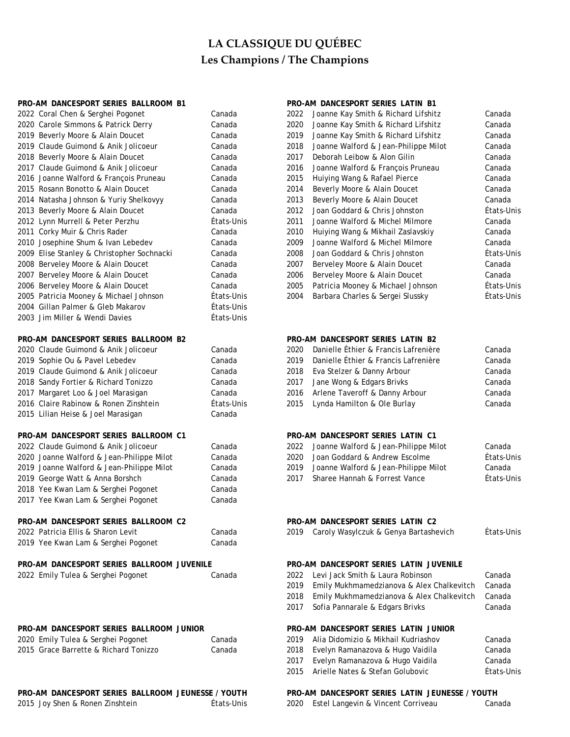| PRO-AM DANCESPORT SERIES BALLROOM B1               |            |      | PRO-AM DANCESPORT SERIES LATIN B1               |            |
|----------------------------------------------------|------------|------|-------------------------------------------------|------------|
| 2022 Coral Chen & Serghei Pogonet                  | Canada     | 2022 | Joanne Kay Smith & Richard Lifshitz             | Canada     |
| 2020 Carole Simmons & Patrick Derry                | Canada     | 2020 | Joanne Kay Smith & Richard Lifshitz             | Canada     |
|                                                    |            |      |                                                 |            |
| 2019 Beverly Moore & Alain Doucet                  | Canada     | 2019 | Joanne Kay Smith & Richard Lifshitz             | Canada     |
| 2019 Claude Guimond & Anik Jolicoeur               | Canada     | 2018 | Joanne Walford & Jean-Philippe Milot            | Canada     |
| 2018 Beverly Moore & Alain Doucet                  | Canada     | 2017 | Deborah Leibow & Alon Gilin                     | Canada     |
| 2017 Claude Guimond & Anik Jolicoeur               | Canada     | 2016 | Joanne Walford & François Pruneau               | Canada     |
| 2016 Joanne Walford & François Pruneau             | Canada     | 2015 | Huiying Wang & Rafael Pierce                    | Canada     |
| 2015 Rosann Bonotto & Alain Doucet                 | Canada     | 2014 | Beverly Moore & Alain Doucet                    | Canada     |
| 2014 Natasha Johnson & Yuriy Shelkovyy             | Canada     | 2013 | Beverly Moore & Alain Doucet                    | Canada     |
| 2013 Beverly Moore & Alain Doucet                  | Canada     | 2012 | Joan Goddard & Chris Johnston                   | États-Unis |
| 2012 Lynn Murrell & Peter Perzhu                   | États-Unis | 2011 | Joanne Walford & Michel Milmore                 | Canada     |
| 2011 Corky Muir & Chris Rader                      | Canada     | 2010 | Huiying Wang & Mikhail Zaslavskiy               | Canada     |
| 2010 Josephine Shum & Ivan Lebedev                 | Canada     | 2009 | Joanne Walford & Michel Milmore                 | Canada     |
| 2009 Elise Stanley & Christopher Sochnacki         | Canada     | 2008 | Joan Goddard & Chris Johnston                   | États-Unis |
| 2008 Berveley Moore & Alain Doucet                 | Canada     | 2007 | Berveley Moore & Alain Doucet                   | Canada     |
| 2007 Berveley Moore & Alain Doucet                 | Canada     | 2006 | Berveley Moore & Alain Doucet                   | Canada     |
| 2006 Berveley Moore & Alain Doucet                 | Canada     | 2005 | Patricia Mooney & Michael Johnson               | États-Unis |
| 2005 Patricia Mooney & Michael Johnson             | États-Unis | 2004 | Barbara Charles & Sergei Slussky                | États-Unis |
| 2004 Gillan Palmer & Gleb Makarov                  | États-Unis |      |                                                 |            |
| 2003 Jim Miller & Wendi Davies                     | États-Unis |      |                                                 |            |
| PRO-AM DANCESPORT SERIES BALLROOM B2               |            |      | PRO-AM DANCESPORT SERIES LATIN B2               |            |
| 2020 Claude Guimond & Anik Jolicoeur               | Canada     | 2020 | Danielle Éthier & Francis Lafrenière            | Canada     |
| 2019 Sophie Ou & Pavel Lebedev                     | Canada     | 2019 | Danielle Éthier & Francis Lafrenière            | Canada     |
| 2019 Claude Guimond & Anik Jolicoeur               | Canada     | 2018 | Eva Stelzer & Danny Arbour                      | Canada     |
| 2018 Sandy Fortier & Richard Tonizzo               | Canada     | 2017 | Jane Wong & Edgars Brivks                       | Canada     |
| 2017 Margaret Loo & Joel Marasigan                 | Canada     | 2016 | Arlene Taveroff & Danny Arbour                  | Canada     |
| 2016 Claire Rabinow & Ronen Zinshtein              | États-Unis | 2015 | Lynda Hamilton & Ole Burlay                     | Canada     |
| 2015 Lilian Heise & Joel Marasigan                 | Canada     |      |                                                 |            |
| PRO-AM DANCESPORT SERIES BALLROOM C1               |            |      | PRO-AM DANCESPORT SERIES LATIN C1               |            |
| 2022 Claude Guimond & Anik Jolicoeur               | Canada     | 2022 | Joanne Walford & Jean-Philippe Milot            | Canada     |
| 2020 Joanne Walford & Jean-Philippe Milot          | Canada     | 2020 | Joan Goddard & Andrew Escolme                   | États-Unis |
| 2019 Joanne Walford & Jean-Philippe Milot          | Canada     | 2019 | Joanne Walford & Jean-Philippe Milot            | Canada     |
| 2019 George Watt & Anna Borshch                    | Canada     | 2017 | Sharee Hannah & Forrest Vance                   | États-Unis |
| 2018 Yee Kwan Lam & Serghei Pogonet                | Canada     |      |                                                 |            |
| 2017 Yee Kwan Lam & Serghei Pogonet                | Canada     |      |                                                 |            |
|                                                    |            |      |                                                 |            |
| PRO-AM DANCESPORT SERIES BALLROOM C2               |            |      | PRO-AM DANCESPORT SERIES LATIN C2               |            |
| 2022 Patricia Ellis & Sharon Levit                 | Canada     |      | 2019 Caroly Wasylczuk & Genya Bartashevich      | Etats-Unis |
| 2019 Yee Kwan Lam & Serghei Pogonet                | Canada     |      |                                                 |            |
| PRO-AM DANCESPORT SERIES BALLROOM JUVENILE         |            |      | PRO-AM DANCESPORT SERIES LATIN JUVENILE         |            |
| 2022 Emily Tulea & Serghei Pogonet                 | Canada     | 2022 | Levi Jack Smith & Laura Robinson                | Canada     |
|                                                    |            | 2019 | Emily Mukhmamedzianova & Alex Chalkevitch       | Canada     |
|                                                    |            | 2018 | Emily Mukhmamedzianova & Alex Chalkevitch       | Canada     |
|                                                    |            | 2017 | Sofia Pannarale & Edgars Brivks                 | Canada     |
| PRO-AM DANCESPORT SERIES BALLROOM JUNIOR           |            |      | PRO-AM DANCESPORT SERIES LATIN JUNIOR           |            |
| 2020 Emily Tulea & Serghei Pogonet                 | Canada     | 2019 | Alia Didomizio & Mikhail Kudriashov             | Canada     |
| 2015 Grace Barrette & Richard Tonizzo              | Canada     | 2018 | Evelyn Ramanazova & Hugo Vaidila                | Canada     |
|                                                    |            | 2017 | Evelyn Ramanazova & Hugo Vaidila                | Canada     |
|                                                    |            | 2015 | Arielle Nates & Stefan Golubovic                | Etats-Unis |
| PRO-AM DANCESPORT SERIES BALLROOM JEUNESSE / YOUTH |            |      | PRO-AM DANCESPORT SERIES LATIN JEUNESSE / YOUTH |            |
| 2015 Joy Shen & Ronen Zinshtein                    | États-Unis |      | 2020 Estel Langevin & Vincent Corriveau         | Canada     |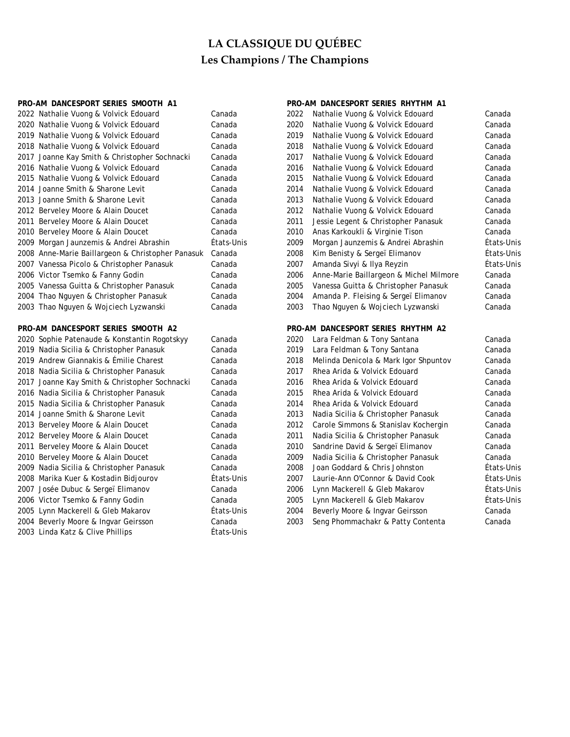| PRO-AM DANCESPORT SERIES SMOOTH A1                |            |      | PRO-AM DANCESPORT SERIES RHYTHM A1      |            |
|---------------------------------------------------|------------|------|-----------------------------------------|------------|
| 2022 Nathalie Vuong & Volvick Edouard             | Canada     | 2022 | Nathalie Vuong & Volvick Edouard        | Canada     |
| 2020 Nathalie Vuong & Volvick Edouard             | Canada     | 2020 | Nathalie Vuong & Volvick Edouard        | Canada     |
| 2019 Nathalie Vuong & Volvick Edouard             | Canada     | 2019 | Nathalie Vuong & Volvick Edouard        | Canada     |
| 2018 Nathalie Vuong & Volvick Edouard             | Canada     | 2018 | Nathalie Vuong & Volvick Edouard        | Canada     |
| 2017 Joanne Kay Smith & Christopher Sochnacki     | Canada     | 2017 | Nathalie Vuong & Volvick Edouard        | Canada     |
| 2016 Nathalie Vuong & Volvick Edouard             | Canada     | 2016 | Nathalie Vuong & Volvick Edouard        | Canada     |
| 2015 Nathalie Vuong & Volvick Edouard             | Canada     | 2015 | Nathalie Vuong & Volvick Edouard        | Canada     |
| 2014 Joanne Smith & Sharone Levit                 | Canada     | 2014 | Nathalie Vuong & Volvick Edouard        | Canada     |
| 2013 Joanne Smith & Sharone Levit                 | Canada     | 2013 | Nathalie Vuong & Volvick Edouard        | Canada     |
| 2012 Berveley Moore & Alain Doucet                | Canada     | 2012 | Nathalie Vuong & Volvick Edouard        | Canada     |
| 2011 Berveley Moore & Alain Doucet                | Canada     | 2011 | Jessie Legent & Christopher Panasuk     | Canada     |
| 2010 Berveley Moore & Alain Doucet                | Canada     | 2010 | Anas Karkoukli & Virginie Tison         | Canada     |
| 2009 Morgan Jaunzemis & Andrei Abrashin           | États-Unis | 2009 | Morgan Jaunzemis & Andrei Abrashin      | États-Unis |
| 2008 Anne-Marie Baillargeon & Christopher Panasuk | Canada     | 2008 | Kim Benisty & Sergeï Elimanov           | États-Unis |
| 2007 Vanessa Picolo & Christopher Panasuk         | Canada     | 2007 | Amanda Sivyi & Ilya Reyzin              | États-Unis |
| 2006 Victor Tsemko & Fanny Godin                  | Canada     | 2006 | Anne-Marie Baillargeon & Michel Milmore | Canada     |
| 2005 Vanessa Guitta & Christopher Panasuk         | Canada     | 2005 | Vanessa Guitta & Christopher Panasuk    | Canada     |
| 2004 Thao Nguyen & Christopher Panasuk            | Canada     | 2004 | Amanda P. Fleising & Sergeï Elimanov    | Canada     |
| 2003 Thao Nguyen & Wojciech Lyzwanski             | Canada     | 2003 | Thao Nguyen & Wojciech Lyzwanski        | Canada     |
|                                                   |            |      |                                         |            |
| PRO-AM DANCESPORT SERIES SMOOTH A2                |            |      | PRO-AM DANCESPORT SERIES RHYTHM A2      |            |
| 2020 Sophie Patenaude & Konstantin Rogotskyy      | Canada     | 2020 | Lara Feldman & Tony Santana             | Canada     |
| 2019 Nadia Sicilia & Christopher Panasuk          | Canada     | 2019 | Lara Feldman & Tony Santana             | Canada     |
| 2019 Andrew Giannakis & Émilie Charest            | Canada     | 2018 | Melinda Denicola & Mark Igor Shpuntov   | Canada     |
| 2018 Nadia Sicilia & Christopher Panasuk          | Canada     | 2017 | Rhea Arida & Volvick Edouard            | Canada     |
| 2017 Joanne Kay Smith & Christopher Sochnacki     | Canada     | 2016 | Rhea Arida & Volvick Edouard            | Canada     |
| 2016 Nadia Sicilia & Christopher Panasuk          | Canada     | 2015 | Rhea Arida & Volvick Edouard            | Canada     |
| 2015 Nadia Sicilia & Christopher Panasuk          | Canada     | 2014 | Rhea Arida & Volvick Edouard            | Canada     |
| 2014 Joanne Smith & Sharone Levit                 | Canada     | 2013 | Nadia Sicilia & Christopher Panasuk     | Canada     |
| 2013 Berveley Moore & Alain Doucet                | Canada     | 2012 | Carole Simmons & Stanislav Kochergin    | Canada     |
| 2012 Berveley Moore & Alain Doucet                | Canada     | 2011 | Nadia Sicilia & Christopher Panasuk     | Canada     |
| 2011 Berveley Moore & Alain Doucet                | Canada     | 2010 | Sandrine David & Sergeï Elimanov        | Canada     |
| 2010 Berveley Moore & Alain Doucet                | Canada     | 2009 | Nadia Sicilia & Christopher Panasuk     | Canada     |
| 2009 Nadia Sicilia & Christopher Panasuk          | Canada     | 2008 | Joan Goddard & Chris Johnston           | États-Unis |
| 2008 Marika Kuer & Kostadin Bidjourov             | États-Unis | 2007 | Laurie-Ann O'Connor & David Cook        | États-Unis |
| 2007 Josée Dubuc & Sergeï Elimanov                | Canada     | 2006 | Lynn Mackerell & Gleb Makarov           | États-Unis |
| 2006 Victor Tsemko & Fanny Godin                  | Canada     | 2005 | Lynn Mackerell & Gleb Makarov           | États-Unis |
| 2005 Lynn Mackerell & Gleb Makarov                | États-Unis | 2004 | Beverly Moore & Ingvar Geirsson         | Canada     |
| 2004 Beverly Moore & Ingvar Geirsson              | Canada     | 2003 | Seng Phommachakr & Patty Contenta       | Canada     |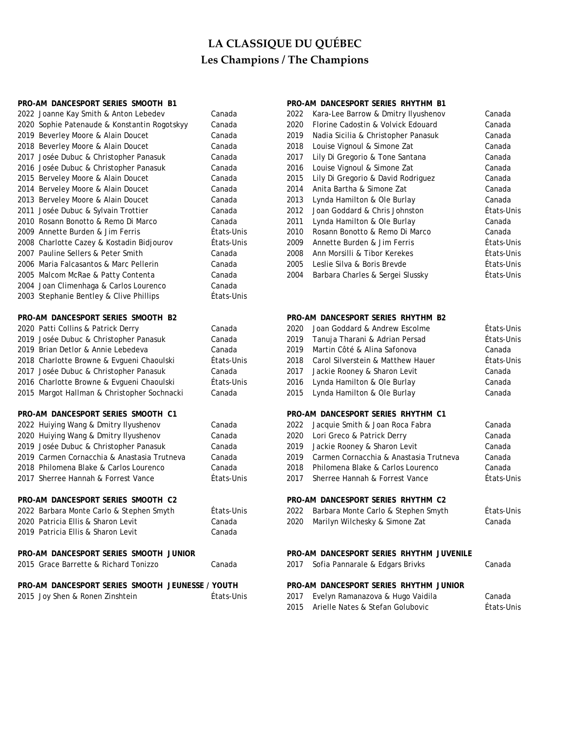| PRO-AM DANCESPORT SERIES SMOOTH B1               |            |      | PRO-AM DANCESPORT SERIES RHYTHM B1       |            |
|--------------------------------------------------|------------|------|------------------------------------------|------------|
| 2022 Joanne Kay Smith & Anton Lebedev            | Canada     | 2022 | Kara-Lee Barrow & Dmitry Ilyushenov      | Canada     |
| 2020 Sophie Patenaude & Konstantin Rogotskyy     | Canada     | 2020 | Florine Cadostin & Volvick Edouard       | Canada     |
| 2019 Beverley Moore & Alain Doucet               | Canada     | 2019 | Nadia Sicilia & Christopher Panasuk      | Canada     |
| 2018 Beverley Moore & Alain Doucet               | Canada     | 2018 | Louise Vignoul & Simone Zat              | Canada     |
| 2017 Josée Dubuc & Christopher Panasuk           | Canada     | 2017 | Lily Di Gregorio & Tone Santana          | Canada     |
| 2016 Josée Dubuc & Christopher Panasuk           | Canada     | 2016 | Louise Vignoul & Simone Zat              | Canada     |
| 2015 Berveley Moore & Alain Doucet               | Canada     | 2015 | Lily Di Gregorio & David Rodriguez       | Canada     |
| 2014 Berveley Moore & Alain Doucet               | Canada     | 2014 | Anita Bartha & Simone Zat                | Canada     |
| 2013 Berveley Moore & Alain Doucet               | Canada     | 2013 | Lynda Hamilton & Ole Burlay              | Canada     |
| 2011 Josée Dubuc & Sylvain Trottier              | Canada     | 2012 | Joan Goddard & Chris Johnston            | États-Unis |
| 2010 Rosann Bonotto & Remo Di Marco              | Canada     | 2011 | Lynda Hamilton & Ole Burlay              | Canada     |
| 2009 Annette Burden & Jim Ferris                 | États-Unis | 2010 | Rosann Bonotto & Remo Di Marco           | Canada     |
| 2008 Charlotte Cazey & Kostadin Bidjourov        | États-Unis | 2009 | Annette Burden & Jim Ferris              | États-Unis |
| 2007 Pauline Sellers & Peter Smith               | Canada     | 2008 | Ann Morsilli & Tibor Kerekes             | États-Unis |
| 2006 Maria Falcasantos & Marc Pellerin           | Canada     | 2005 | Leslie Silva & Boris Brevde              | États-Unis |
| 2005 Malcom McRae & Patty Contenta               | Canada     | 2004 | Barbara Charles & Sergei Slussky         | États-Unis |
| 2004 Joan Climenhaga & Carlos Lourenco           | Canada     |      |                                          |            |
| 2003 Stephanie Bentley & Clive Phillips          | États-Unis |      |                                          |            |
| PRO-AM DANCESPORT SERIES SMOOTH B2               |            |      | PRO-AM DANCESPORT SERIES RHYTHM B2       |            |
| 2020 Patti Collins & Patrick Derry               | Canada     | 2020 | Joan Goddard & Andrew Escolme            | États-Unis |
| 2019 Josée Dubuc & Christopher Panasuk           | Canada     | 2019 | Tanuja Tharani & Adrian Persad           | États-Unis |
| 2019 Brian Detlor & Annie Lebedeva               | Canada     | 2019 | Martin Côté & Alina Safonova             | Canada     |
| 2018 Charlotte Browne & Evgueni Chaoulski        | États-Unis | 2018 | Carol Silverstein & Matthew Hauer        | États-Unis |
| 2017 Josée Dubuc & Christopher Panasuk           | Canada     | 2017 | Jackie Rooney & Sharon Levit             | Canada     |
| 2016 Charlotte Browne & Evgueni Chaoulski        | États-Unis | 2016 | Lynda Hamilton & Ole Burlay              | Canada     |
| 2015 Margot Hallman & Christopher Sochnacki      | Canada     | 2015 | Lynda Hamilton & Ole Burlay              | Canada     |
| PRO-AM DANCESPORT SERIES SMOOTH C1               |            |      | PRO-AM DANCESPORT SERIES RHYTHM C1       |            |
| 2022 Huiying Wang & Dmitry Ilyushenov            | Canada     | 2022 | Jacquie Smith & Joan Roca Fabra          | Canada     |
| 2020 Huiying Wang & Dmitry Ilyushenov            | Canada     | 2020 | Lori Greco & Patrick Derry               | Canada     |
| 2019 Josée Dubuc & Christopher Panasuk           | Canada     | 2019 | Jackie Rooney & Sharon Levit             | Canada     |
| 2019 Carmen Cornacchia & Anastasia Trutneva      | Canada     | 2019 | Carmen Cornacchia & Anastasia Trutneva   | Canada     |
| 2018 Philomena Blake & Carlos Lourenco           | Canada     | 2018 | Philomena Blake & Carlos Lourenco        | Canada     |
| 2017 Sherree Hannah & Forrest Vance              | États-Unis | 2017 | Sherree Hannah & Forrest Vance           | États-Unis |
| PRO-AM DANCESPORT SERIES SMOOTH C2               |            |      | PRO-AM DANCESPORT SERIES RHYTHM C2       |            |
| 2022 Barbara Monte Carlo & Stephen Smyth         | États-Unis | 2022 | Barbara Monte Carlo & Stephen Smyth      | États-Unis |
| 2020 Patricia Ellis & Sharon Levit               | Canada     | 2020 | Marilyn Wilchesky & Simone Zat           | Canada     |
| 2019 Patricia Ellis & Sharon Levit               | Canada     |      |                                          |            |
| PRO-AM DANCESPORT SERIES SMOOTH JUNIOR           |            |      | PRO-AM DANCESPORT SERIES RHYTHM JUVENILE |            |
| 2015 Grace Barrette & Richard Tonizzo            | Canada     | 2017 | Sofia Pannarale & Edgars Brivks          | Canada     |
| PRO-AM DANCESPORT SERIES SMOOTH JEUNESSE / YOUTH |            |      | PRO-AM DANCESPORT SERIES RHYTHM JUNIOR   |            |
| 2015 Joy Shen & Ronen Zinshtein                  | États-Unis | 2017 | Evelyn Ramanazova & Hugo Vaidila         | Canada     |
|                                                  |            | 2015 | Arielle Nates & Stefan Golubovic         | États-Unis |
|                                                  |            |      |                                          |            |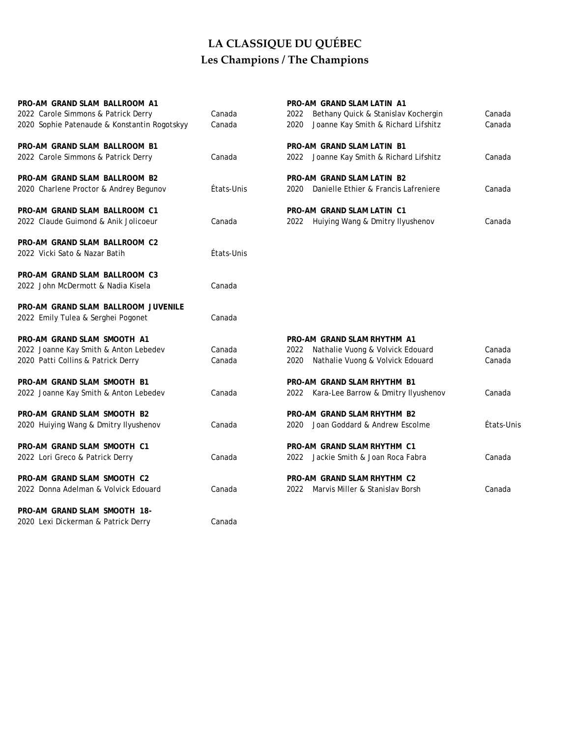| PRO-AM GRAND SLAM BALLROOM A1                |            | PRO-AM GRAND SLAM LATIN A1                   |            |
|----------------------------------------------|------------|----------------------------------------------|------------|
| 2022 Carole Simmons & Patrick Derry          | Canada     | Bethany Quick & Stanislav Kochergin<br>2022  | Canada     |
| 2020 Sophie Patenaude & Konstantin Rogotskyy | Canada     | 2020<br>Joanne Kay Smith & Richard Lifshitz  | Canada     |
| PRO-AM GRAND SLAM BALLROOM B1                |            | PRO-AM GRAND SLAM LATIN B1                   |            |
| 2022 Carole Simmons & Patrick Derry          | Canada     | 2022 Joanne Kay Smith & Richard Lifshitz     | Canada     |
| PRO-AM GRAND SLAM BALLROOM B2                |            | PRO-AM GRAND SLAM LATIN B2                   |            |
| 2020 Charlene Proctor & Andrey Begunov       | États-Unis | Danielle Ethier & Francis Lafreniere<br>2020 | Canada     |
| PRO-AM GRAND SLAM BALLROOM C1                |            | <b>PRO-AM GRAND SLAM LATIN C1</b>            |            |
| 2022 Claude Guimond & Anik Jolicoeur         | Canada     | Huiying Wang & Dmitry Ilyushenov<br>2022     | Canada     |
| PRO-AM GRAND SLAM BALLROOM C2                |            |                                              |            |
| 2022 Vicki Sato & Nazar Batih                | États-Unis |                                              |            |
| PRO-AM GRAND SLAM BALLROOM C3                |            |                                              |            |
| 2022 John McDermott & Nadia Kisela           | Canada     |                                              |            |
| PRO-AM GRAND SLAM BALLROOM JUVENILE          |            |                                              |            |
| 2022 Emily Tulea & Serghei Pogonet           | Canada     |                                              |            |
| PRO-AM GRAND SLAM SMOOTH A1                  |            | PRO-AM GRAND SLAM RHYTHM A1                  |            |
| 2022 Joanne Kay Smith & Anton Lebedev        | Canada     | 2022<br>Nathalie Vuong & Volvick Edouard     | Canada     |
| 2020 Patti Collins & Patrick Derry           | Canada     | 2020<br>Nathalie Vuong & Volvick Edouard     | Canada     |
| PRO-AM GRAND SLAM SMOOTH B1                  |            | PRO-AM GRAND SLAM RHYTHM B1                  |            |
| 2022 Joanne Kay Smith & Anton Lebedev        | Canada     | 2022 Kara-Lee Barrow & Dmitry Ilyushenov     | Canada     |
| PRO-AM GRAND SLAM SMOOTH B2                  |            | PRO-AM GRAND SLAM RHYTHM B2                  |            |
| 2020 Huiying Wang & Dmitry Ilyushenov        | Canada     | Joan Goddard & Andrew Escolme<br>2020        | États-Unis |
| PRO-AM GRAND SLAM SMOOTH C1                  |            | PRO-AM GRAND SLAM RHYTHM C1                  |            |
| 2022 Lori Greco & Patrick Derry              | Canada     | 2022 Jackie Smith & Joan Roca Fabra          | Canada     |
| PRO-AM GRAND SLAM SMOOTH C2                  |            | PRO-AM GRAND SLAM RHYTHM C2                  |            |
| 2022 Donna Adelman & Volvick Edouard         | Canada     | Marvis Miller & Stanislav Borsh<br>2022      | Canada     |
| PRO-AM GRAND SLAM SMOOTH 18-                 |            |                                              |            |
| 2020 Lexi Dickerman & Patrick Derry          | Canada     |                                              |            |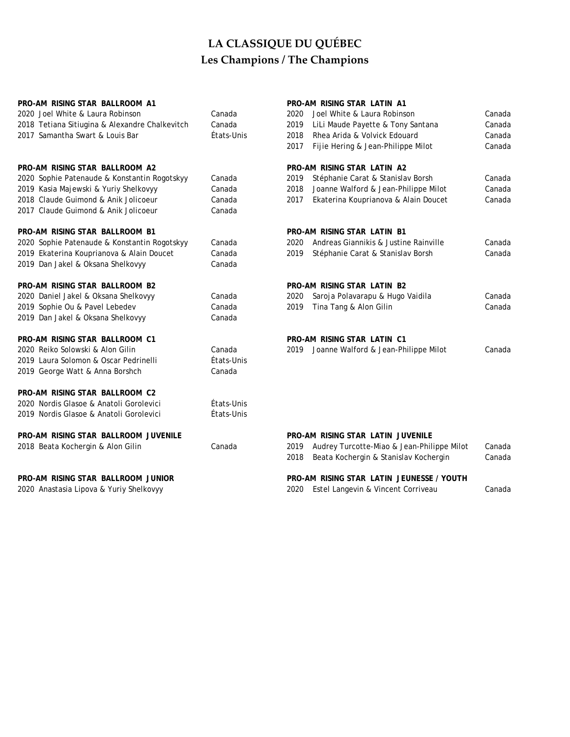| PRO-AM RISING STAR BALLROOM A1                 |            |      | PRO-AM RISING STAR LATIN A1                |        |
|------------------------------------------------|------------|------|--------------------------------------------|--------|
| 2020 Joel White & Laura Robinson               | Canada     | 2020 | Joel White & Laura Robinson                | Canada |
| 2018 Tetiana Sitiugina & Alexandre Chalkevitch | Canada     | 2019 | LiLi Maude Payette & Tony Santana          | Canada |
| 2017 Samantha Swart & Louis Bar                | États-Unis | 2018 | Rhea Arida & Volvick Edouard               | Canada |
|                                                |            | 2017 | Fijie Hering & Jean-Philippe Milot         | Canada |
| PRO-AM RISING STAR BALLROOM A2                 |            |      | PRO-AM RISING STAR LATIN A2                |        |
| 2020 Sophie Patenaude & Konstantin Rogotskyy   | Canada     | 2019 | Stéphanie Carat & Stanislav Borsh          | Canada |
| 2019 Kasia Majewski & Yuriy Shelkovyy          | Canada     | 2018 | Joanne Walford & Jean-Philippe Milot       | Canada |
| 2018 Claude Guimond & Anik Jolicoeur           | Canada     | 2017 | Ekaterina Kouprianova & Alain Doucet       | Canada |
| 2017 Claude Guimond & Anik Jolicoeur           | Canada     |      |                                            |        |
| PRO-AM RISING STAR BALLROOM B1                 |            |      | <b>PRO-AM RISING STAR LATIN B1</b>         |        |
| 2020 Sophie Patenaude & Konstantin Rogotskyy   | Canada     | 2020 | Andreas Giannikis & Justine Rainville      | Canada |
| 2019 Ekaterina Kouprianova & Alain Doucet      | Canada     | 2019 | Stéphanie Carat & Stanislav Borsh          | Canada |
| 2019 Dan Jakel & Oksana Shelkovyy              | Canada     |      |                                            |        |
| PRO-AM RISING STAR BALLROOM B2                 |            |      | <b>PRO-AM RISING STAR LATIN B2</b>         |        |
| 2020 Daniel Jakel & Oksana Shelkovyy           | Canada     | 2020 | Saroja Polavarapu & Hugo Vaidila           | Canada |
| 2019 Sophie Ou & Pavel Lebedev                 | Canada     | 2019 | Tina Tang & Alon Gilin                     | Canada |
| 2019 Dan Jakel & Oksana Shelkovyy              | Canada     |      |                                            |        |
| PRO-AM RISING STAR BALLROOM C1                 |            |      | <b>PRO-AM RISING STAR LATIN C1</b>         |        |
| 2020 Reiko Solowski & Alon Gilin               | Canada     | 2019 | Joanne Walford & Jean-Philippe Milot       | Canada |
| 2019 Laura Solomon & Oscar Pedrinelli          | États-Unis |      |                                            |        |
| 2019 George Watt & Anna Borshch                | Canada     |      |                                            |        |
| PRO-AM RISING STAR BALLROOM C2                 |            |      |                                            |        |
| 2020 Nordis Glasoe & Anatoli Gorolevici        | États-Unis |      |                                            |        |
| 2019 Nordis Glasoe & Anatoli Gorolevici        | États-Unis |      |                                            |        |
| PRO-AM RISING STAR BALLROOM JUVENILE           |            |      | PRO-AM RISING STAR LATIN JUVENILE          |        |
| 2018 Beata Kochergin & Alon Gilin              | Canada     | 2019 | Audrey Turcotte-Miao & Jean-Philippe Milot | Canada |
|                                                |            | 2018 | Beata Kochergin & Stanislav Kochergin      | Canada |
| PRO-AM RISING STAR BALLROOM JUNIOR             |            |      | PRO-AM RISING STAR LATIN JEUNESSE / YOUTH  |        |
| 2020 Anastasia Lipova & Yuriy Shelkovyy        |            | 2020 | Estel Langevin & Vincent Corriveau         | Canada |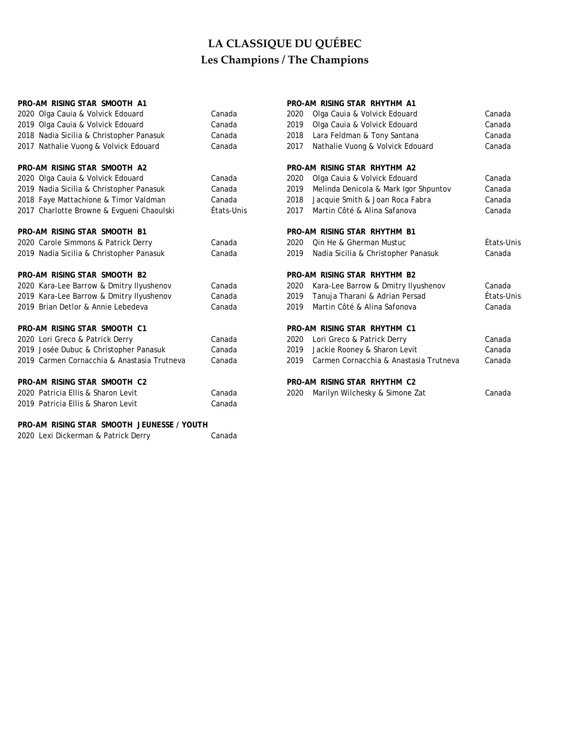| PRO-AM RISING STAR SMOOTH A1                |            |      | PRO-AM RISING STAR RHYTHM A1           |            |
|---------------------------------------------|------------|------|----------------------------------------|------------|
| 2020 Olga Cauia & Volvick Edouard           | Canada     | 2020 | Olga Cauia & Volvick Edouard           | Canada     |
| 2019 Olga Cauia & Volvick Edouard           | Canada     | 2019 | Olga Cauia & Volvick Edouard           | Canada     |
| 2018 Nadia Sicilia & Christopher Panasuk    | Canada     | 2018 | Lara Feldman & Tony Santana            | Canada     |
| 2017 Nathalie Vuong & Volvick Edouard       | Canada     | 2017 | Nathalie Vuong & Volvick Edouard       | Canada     |
| PRO-AM RISING STAR SMOOTH A2                |            |      | PRO-AM RISING STAR RHYTHM A2           |            |
| 2020 Olga Cauia & Volvick Edouard           | Canada     | 2020 | Olga Cauia & Volvick Edouard           | Canada     |
| 2019 Nadia Sicilia & Christopher Panasuk    | Canada     | 2019 | Melinda Denicola & Mark Igor Shpuntov  | Canada     |
| 2018 Faye Mattachione & Timor Valdman       | Canada     | 2018 | Jacquie Smith & Joan Roca Fabra        | Canada     |
| 2017 Charlotte Browne & Evgueni Chaoulski   | États-Unis | 2017 | Martin Côté & Alina Safanova           | Canada     |
| PRO-AM RISING STAR SMOOTH B1                |            |      | PRO-AM RISING STAR RHYTHM B1           |            |
| 2020 Carole Simmons & Patrick Derry         | Canada     | 2020 | Qin He & Gherman Mustuc                | États-Unis |
| 2019 Nadia Sicilia & Christopher Panasuk    | Canada     | 2019 | Nadia Sicilia & Christopher Panasuk    | Canada     |
| PRO-AM RISING STAR SMOOTH B2                |            |      | PRO-AM RISING STAR RHYTHM B2           |            |
| 2020 Kara-Lee Barrow & Dmitry Ilyushenov    | Canada     | 2020 | Kara-Lee Barrow & Dmitry Ilyushenov    | Canada     |
| 2019 Kara-Lee Barrow & Dmitry Ilyushenov    | Canada     | 2019 | Tanuja Tharani & Adrian Persad         | États-Unis |
| 2019 Brian Detlor & Annie Lebedeva          | Canada     | 2019 | Martin Côté & Alina Safonova           | Canada     |
| PRO-AM RISING STAR SMOOTH C1                |            |      | PRO-AM RISING STAR RHYTHM C1           |            |
| 2020 Lori Greco & Patrick Derry             | Canada     | 2020 | Lori Greco & Patrick Derry             | Canada     |
| 2019 Josée Dubuc & Christopher Panasuk      | Canada     | 2019 | Jackie Rooney & Sharon Levit           | Canada     |
| 2019 Carmen Cornacchia & Anastasia Trutneva | Canada     | 2019 | Carmen Cornacchia & Anastasia Trutneva | Canada     |
| PRO-AM RISING STAR SMOOTH C2                |            |      | PRO-AM RISING STAR RHYTHM C2           |            |
| 2020 Patricia Ellis & Sharon Levit          | Canada     | 2020 | Marilyn Wilchesky & Simone Zat         | Canada     |
| 2019 Patricia Ellis & Sharon Levit          | Canada     |      |                                        |            |
|                                             |            |      |                                        |            |

2020 Lexi Dickerman & Patrick Derry Canada **PRO-AM RISING STAR SMOOTH JEUNESSE / YOUTH**